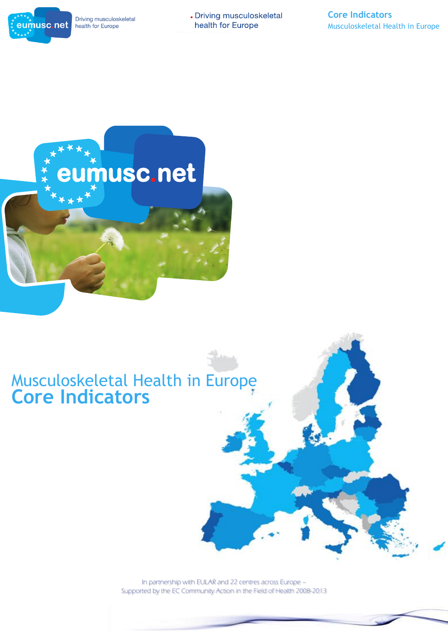

Driving musculoskeletal health for Europe

. Driving musculoskeletal health for Europe

# **eumusc.net**

# Musculoskeletal Health in Europe **Core Indicators**

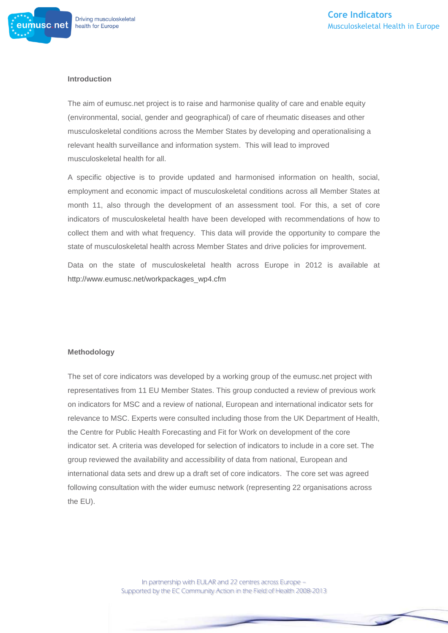

#### **Introduction**

The aim of eumusc.net project is to raise and harmonise quality of care and enable equity (environmental, social, gender and geographical) of care of rheumatic diseases and other musculoskeletal conditions across the Member States by developing and operationalising a relevant health surveillance and information system. This will lead to improved musculoskeletal health for all.

A specific objective is to provide updated and harmonised information on health, social, employment and economic impact of musculoskeletal conditions across all Member States at month 11, also through the development of an assessment tool. For this, a set of core indicators of musculoskeletal health have been developed with recommendations of how to collect them and with what frequency. This data will provide the opportunity to compare the state of musculoskeletal health across Member States and drive policies for improvement.

Data on the state of musculoskeletal health across Europe in 2012 is available at [http://www.eumusc.net/workpackages\\_wp4.cfm](http://www.eumusc.net/workpackages_wp4.cfm)

#### **Methodology**

The set of core indicators was developed by a working group of the eumusc.net project with representatives from 11 EU Member States. This group conducted a review of previous work on indicators for MSC and a review of national, European and international indicator sets for relevance to MSC. Experts were consulted including those from the UK Department of Health, the Centre for Public Health Forecasting and Fit for Work on development of the core indicator set. A criteria was developed for selection of indicators to include in a core set. The group reviewed the availability and accessibility of data from national, European and international data sets and drew up a draft set of core indicators. The core set was agreed following consultation with the wider eumusc network (representing 22 organisations across the EU).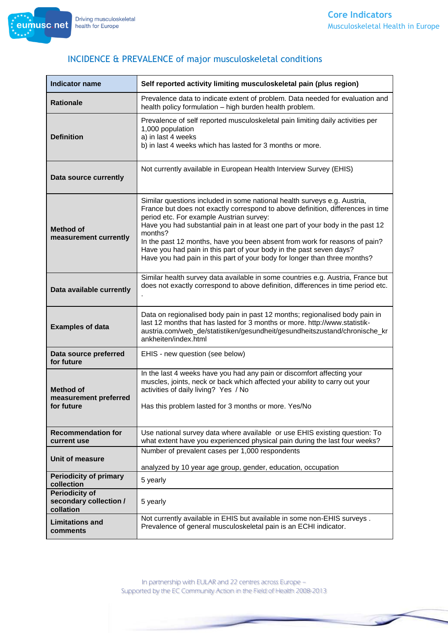

| <b>Indicator name</b>                                        | Self reported activity limiting musculoskeletal pain (plus region)                                                                                                                                                                                                                                                                                                                                                                                                                                                                     |
|--------------------------------------------------------------|----------------------------------------------------------------------------------------------------------------------------------------------------------------------------------------------------------------------------------------------------------------------------------------------------------------------------------------------------------------------------------------------------------------------------------------------------------------------------------------------------------------------------------------|
| <b>Rationale</b>                                             | Prevalence data to indicate extent of problem. Data needed for evaluation and<br>health policy formulation - high burden health problem.                                                                                                                                                                                                                                                                                                                                                                                               |
| <b>Definition</b>                                            | Prevalence of self reported musculoskeletal pain limiting daily activities per<br>1,000 population<br>a) in last 4 weeks<br>b) in last 4 weeks which has lasted for 3 months or more.                                                                                                                                                                                                                                                                                                                                                  |
| Data source currently                                        | Not currently available in European Health Interview Survey (EHIS)                                                                                                                                                                                                                                                                                                                                                                                                                                                                     |
| <b>Method of</b><br>measurement currently                    | Similar questions included in some national health surveys e.g. Austria,<br>France but does not exactly correspond to above definition, differences in time<br>period etc. For example Austrian survey:<br>Have you had substantial pain in at least one part of your body in the past 12<br>months?<br>In the past 12 months, have you been absent from work for reasons of pain?<br>Have you had pain in this part of your body in the past seven days?<br>Have you had pain in this part of your body for longer than three months? |
| Data available currently                                     | Similar health survey data available in some countries e.g. Austria, France but<br>does not exactly correspond to above definition, differences in time period etc.                                                                                                                                                                                                                                                                                                                                                                    |
| <b>Examples of data</b>                                      | Data on regionalised body pain in past 12 months; regionalised body pain in<br>last 12 months that has lasted for 3 months or more. http://www.statistik-<br>austria.com/web_de/statistiken/gesundheit/gesundheitszustand/chronische_kr<br>ankheiten/index.html                                                                                                                                                                                                                                                                        |
| Data source preferred<br>for future                          | EHIS - new question (see below)                                                                                                                                                                                                                                                                                                                                                                                                                                                                                                        |
| <b>Method of</b><br>measurement preferred<br>for future      | In the last 4 weeks have you had any pain or discomfort affecting your<br>muscles, joints, neck or back which affected your ability to carry out your<br>activities of daily living? Yes / No<br>Has this problem lasted for 3 months or more. Yes/No                                                                                                                                                                                                                                                                                  |
| <b>Recommendation for</b><br>current use                     | Use national survey data where available or use EHIS existing question: To<br>what extent have you experienced physical pain during the last four weeks?                                                                                                                                                                                                                                                                                                                                                                               |
| Unit of measure                                              | Number of prevalent cases per 1,000 respondents<br>analyzed by 10 year age group, gender, education, occupation                                                                                                                                                                                                                                                                                                                                                                                                                        |
| <b>Periodicity of primary</b><br>collection                  | 5 yearly                                                                                                                                                                                                                                                                                                                                                                                                                                                                                                                               |
| <b>Periodicity of</b><br>secondary collection /<br>collation | 5 yearly                                                                                                                                                                                                                                                                                                                                                                                                                                                                                                                               |
| <b>Limitations and</b><br>comments                           | Not currently available in EHIS but available in some non-EHIS surveys.<br>Prevalence of general musculoskeletal pain is an ECHI indicator.                                                                                                                                                                                                                                                                                                                                                                                            |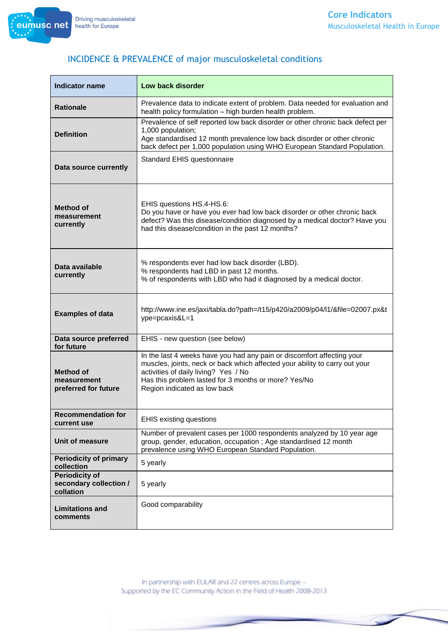| <b>Indicator name</b>                                        | Low back disorder                                                                                                                                                                                                                                                                     |
|--------------------------------------------------------------|---------------------------------------------------------------------------------------------------------------------------------------------------------------------------------------------------------------------------------------------------------------------------------------|
| <b>Rationale</b>                                             | Prevalence data to indicate extent of problem. Data needed for evaluation and<br>health policy formulation - high burden health problem.                                                                                                                                              |
| <b>Definition</b>                                            | Prevalence of self reported low back disorder or other chronic back defect per<br>1,000 population;<br>Age standardised 12 month prevalence low back disorder or other chronic<br>back defect per 1,000 population using WHO European Standard Population.                            |
| Data source currently                                        | Standard EHIS questionnaire                                                                                                                                                                                                                                                           |
| <b>Method of</b><br>measurement<br>currently                 | EHIS questions HS.4-HS.6:<br>Do you have or have you ever had low back disorder or other chronic back<br>defect? Was this disease/condition diagnosed by a medical doctor? Have you<br>had this disease/condition in the past 12 months?                                              |
| Data available<br>currently                                  | % respondents ever had low back disorder (LBD).<br>% respondents had LBD in past 12 months.<br>% of respondents with LBD who had it diagnosed by a medical doctor.                                                                                                                    |
| <b>Examples of data</b>                                      | http://www.ine.es/jaxi/tabla.do?path=/t15/p420/a2009/p04/l1/&file=02007.px&t<br>ype=pcaxis&L=1                                                                                                                                                                                        |
| Data source preferred<br>for future                          | EHIS - new question (see below)                                                                                                                                                                                                                                                       |
| Method of<br>measurement<br>preferred for future             | In the last 4 weeks have you had any pain or discomfort affecting your<br>muscles, joints, neck or back which affected your ability to carry out your<br>activities of daily living? Yes / No<br>Has this problem lasted for 3 months or more? Yes/No<br>Region indicated as low back |
| <b>Recommendation for</b><br>current use                     | <b>EHIS existing questions</b>                                                                                                                                                                                                                                                        |
| Unit of measure                                              | Number of prevalent cases per 1000 respondents analyzed by 10 year age<br>group, gender, education, occupation ; Age standardised 12 month<br>prevalence using WHO European Standard Population.                                                                                      |
| <b>Periodicity of primary</b><br>collection                  | 5 yearly                                                                                                                                                                                                                                                                              |
| <b>Periodicity of</b><br>secondary collection /<br>collation | 5 yearly                                                                                                                                                                                                                                                                              |
| <b>Limitations and</b><br>comments                           | Good comparability                                                                                                                                                                                                                                                                    |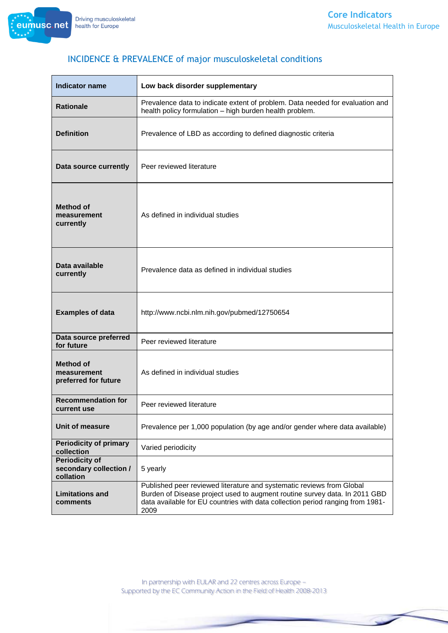

| <b>Indicator name</b>                                        | Low back disorder supplementary                                                                                                                                                                                                               |
|--------------------------------------------------------------|-----------------------------------------------------------------------------------------------------------------------------------------------------------------------------------------------------------------------------------------------|
| <b>Rationale</b>                                             | Prevalence data to indicate extent of problem. Data needed for evaluation and<br>health policy formulation - high burden health problem.                                                                                                      |
| <b>Definition</b>                                            | Prevalence of LBD as according to defined diagnostic criteria                                                                                                                                                                                 |
| Data source currently                                        | Peer reviewed literature                                                                                                                                                                                                                      |
| Method of<br>measurement<br>currently                        | As defined in individual studies                                                                                                                                                                                                              |
| Data available<br>currently                                  | Prevalence data as defined in individual studies                                                                                                                                                                                              |
| <b>Examples of data</b>                                      | http://www.ncbi.nlm.nih.gov/pubmed/12750654                                                                                                                                                                                                   |
| Data source preferred<br>for future                          | Peer reviewed literature                                                                                                                                                                                                                      |
| <b>Method of</b><br>measurement<br>preferred for future      | As defined in individual studies                                                                                                                                                                                                              |
| <b>Recommendation for</b><br>current use                     | Peer reviewed literature                                                                                                                                                                                                                      |
| Unit of measure                                              | Prevalence per 1,000 population (by age and/or gender where data available)                                                                                                                                                                   |
| <b>Periodicity of primary</b><br>collection                  | Varied periodicity                                                                                                                                                                                                                            |
| <b>Periodicity of</b><br>secondary collection /<br>collation | 5 yearly                                                                                                                                                                                                                                      |
| <b>Limitations and</b><br>comments                           | Published peer reviewed literature and systematic reviews from Global<br>Burden of Disease project used to augment routine survey data. In 2011 GBD<br>data available for EU countries with data collection period ranging from 1981-<br>2009 |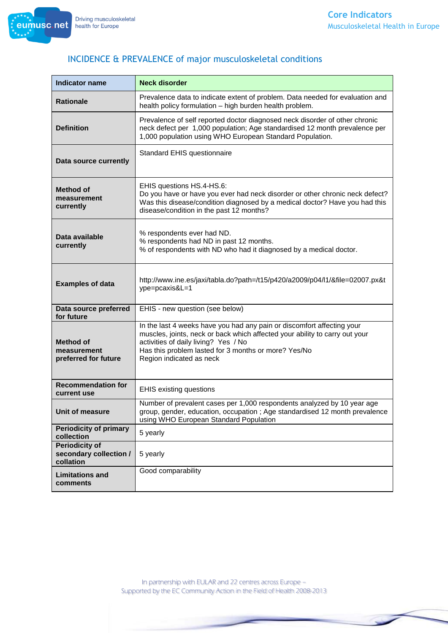

| <b>Indicator name</b>                                        | <b>Neck disorder</b>                                                                                                                                                                                                                                                              |
|--------------------------------------------------------------|-----------------------------------------------------------------------------------------------------------------------------------------------------------------------------------------------------------------------------------------------------------------------------------|
| <b>Rationale</b>                                             | Prevalence data to indicate extent of problem. Data needed for evaluation and<br>health policy formulation - high burden health problem.                                                                                                                                          |
| <b>Definition</b>                                            | Prevalence of self reported doctor diagnosed neck disorder of other chronic<br>neck defect per 1,000 population; Age standardised 12 month prevalence per<br>1,000 population using WHO European Standard Population.                                                             |
| Data source currently                                        | Standard EHIS questionnaire                                                                                                                                                                                                                                                       |
| <b>Method of</b><br>measurement<br>currently                 | EHIS questions HS.4-HS.6:<br>Do you have or have you ever had neck disorder or other chronic neck defect?<br>Was this disease/condition diagnosed by a medical doctor? Have you had this<br>disease/condition in the past 12 months?                                              |
| Data available<br>currently                                  | % respondents ever had ND.<br>% respondents had ND in past 12 months.<br>% of respondents with ND who had it diagnosed by a medical doctor.                                                                                                                                       |
| <b>Examples of data</b>                                      | http://www.ine.es/jaxi/tabla.do?path=/t15/p420/a2009/p04/l1/&file=02007.px&t<br>ype=pcaxis&L=1                                                                                                                                                                                    |
| Data source preferred<br>for future                          | EHIS - new question (see below)                                                                                                                                                                                                                                                   |
| Method of<br>measurement<br>preferred for future             | In the last 4 weeks have you had any pain or discomfort affecting your<br>muscles, joints, neck or back which affected your ability to carry out your<br>activities of daily living? Yes / No<br>Has this problem lasted for 3 months or more? Yes/No<br>Region indicated as neck |
| <b>Recommendation for</b><br>current use                     | <b>EHIS existing questions</b>                                                                                                                                                                                                                                                    |
| Unit of measure                                              | Number of prevalent cases per 1,000 respondents analyzed by 10 year age<br>group, gender, education, occupation; Age standardised 12 month prevalence<br>using WHO European Standard Population                                                                                   |
| <b>Periodicity of primary</b><br>collection                  | 5 yearly                                                                                                                                                                                                                                                                          |
| <b>Periodicity of</b><br>secondary collection /<br>collation | 5 yearly                                                                                                                                                                                                                                                                          |
| <b>Limitations and</b><br>comments                           | Good comparability                                                                                                                                                                                                                                                                |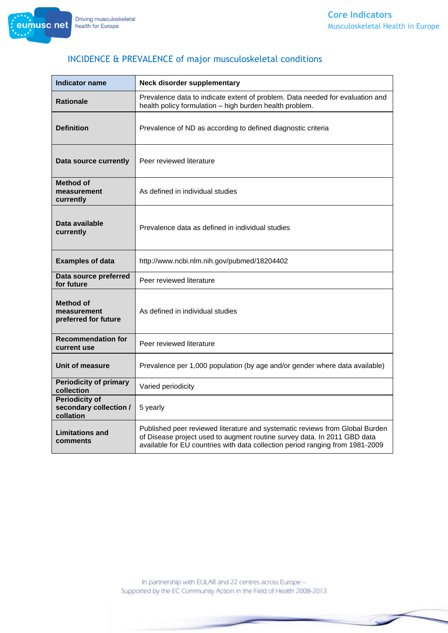

| <b>Indicator name</b>                                        | Neck disorder supplementary                                                                                                                                                                                                               |
|--------------------------------------------------------------|-------------------------------------------------------------------------------------------------------------------------------------------------------------------------------------------------------------------------------------------|
| <b>Rationale</b>                                             | Prevalence data to indicate extent of problem. Data needed for evaluation and<br>health policy formulation - high burden health problem.                                                                                                  |
| <b>Definition</b>                                            | Prevalence of ND as according to defined diagnostic criteria                                                                                                                                                                              |
| Data source currently                                        | Peer reviewed literature                                                                                                                                                                                                                  |
| Method of<br>measurement<br>currently                        | As defined in individual studies                                                                                                                                                                                                          |
| Data available<br>currently                                  | Prevalence data as defined in individual studies                                                                                                                                                                                          |
| <b>Examples of data</b>                                      | http://www.ncbi.nlm.nih.gov/pubmed/18204402                                                                                                                                                                                               |
| Data source preferred<br>for future                          | Peer reviewed literature                                                                                                                                                                                                                  |
| <b>Method of</b><br>measurement<br>preferred for future      | As defined in individual studies                                                                                                                                                                                                          |
| <b>Recommendation for</b><br>current use                     | Peer reviewed literature                                                                                                                                                                                                                  |
| Unit of measure                                              | Prevalence per 1,000 population (by age and/or gender where data available)                                                                                                                                                               |
| <b>Periodicity of primary</b><br>collection                  | Varied periodicity                                                                                                                                                                                                                        |
| <b>Periodicity of</b><br>secondary collection /<br>collation | 5 yearly                                                                                                                                                                                                                                  |
| <b>Limitations and</b><br>comments                           | Published peer reviewed literature and systematic reviews from Global Burden<br>of Disease project used to augment routine survey data. In 2011 GBD data<br>available for EU countries with data collection period ranging from 1981-2009 |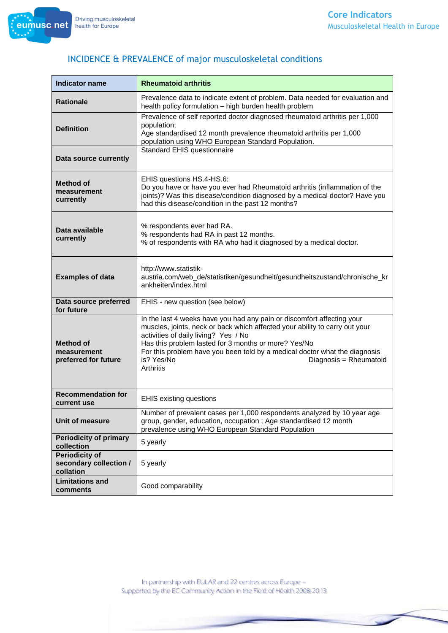eumusc.net



| <b>Indicator name</b>                                        | <b>Rheumatoid arthritis</b>                                                                                                                                                                                                                                                                                                                                                              |
|--------------------------------------------------------------|------------------------------------------------------------------------------------------------------------------------------------------------------------------------------------------------------------------------------------------------------------------------------------------------------------------------------------------------------------------------------------------|
| <b>Rationale</b>                                             | Prevalence data to indicate extent of problem. Data needed for evaluation and<br>health policy formulation - high burden health problem                                                                                                                                                                                                                                                  |
| <b>Definition</b>                                            | Prevalence of self reported doctor diagnosed rheumatoid arthritis per 1,000<br>population;<br>Age standardised 12 month prevalence rheumatoid arthritis per 1,000<br>population using WHO European Standard Population.                                                                                                                                                                  |
| Data source currently                                        | Standard EHIS questionnaire                                                                                                                                                                                                                                                                                                                                                              |
| <b>Method of</b><br>measurement<br>currently                 | EHIS questions HS.4-HS.6:<br>Do you have or have you ever had Rheumatoid arthritis (inflammation of the<br>joints)? Was this disease/condition diagnosed by a medical doctor? Have you<br>had this disease/condition in the past 12 months?                                                                                                                                              |
| Data available<br>currently                                  | % respondents ever had RA.<br>% respondents had RA in past 12 months.<br>% of respondents with RA who had it diagnosed by a medical doctor.                                                                                                                                                                                                                                              |
| <b>Examples of data</b>                                      | http://www.statistik-<br>austria.com/web_de/statistiken/gesundheit/gesundheitszustand/chronische_kr<br>ankheiten/index.html                                                                                                                                                                                                                                                              |
| Data source preferred<br>for future                          | EHIS - new question (see below)                                                                                                                                                                                                                                                                                                                                                          |
| <b>Method of</b><br>measurement<br>preferred for future      | In the last 4 weeks have you had any pain or discomfort affecting your<br>muscles, joints, neck or back which affected your ability to carry out your<br>activities of daily living? Yes / No<br>Has this problem lasted for 3 months or more? Yes/No<br>For this problem have you been told by a medical doctor what the diagnosis<br>is? Yes/No<br>Diagnosis = Rheumatoid<br>Arthritis |
| <b>Recommendation for</b><br>current use                     | <b>EHIS existing questions</b>                                                                                                                                                                                                                                                                                                                                                           |
| Unit of measure                                              | Number of prevalent cases per 1,000 respondents analyzed by 10 year age<br>group, gender, education, occupation ; Age standardised 12 month<br>prevalence using WHO European Standard Population                                                                                                                                                                                         |
| <b>Periodicity of primary</b><br>collection                  | 5 yearly                                                                                                                                                                                                                                                                                                                                                                                 |
| <b>Periodicity of</b><br>secondary collection /<br>collation | 5 yearly                                                                                                                                                                                                                                                                                                                                                                                 |
| <b>Limitations and</b><br>comments                           | Good comparability                                                                                                                                                                                                                                                                                                                                                                       |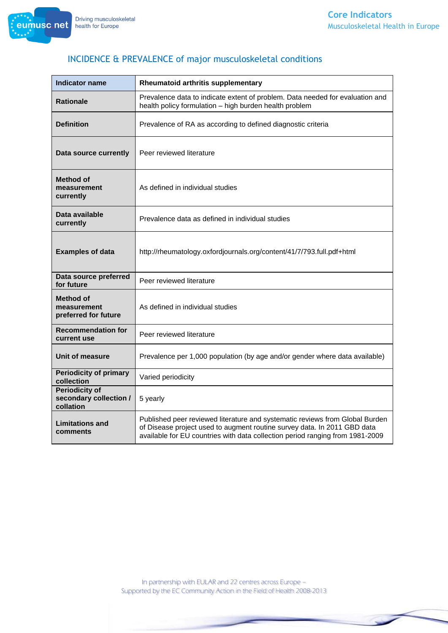

| <b>Indicator name</b>                                        | Rheumatoid arthritis supplementary                                                                                                                                                                                                        |
|--------------------------------------------------------------|-------------------------------------------------------------------------------------------------------------------------------------------------------------------------------------------------------------------------------------------|
| <b>Rationale</b>                                             | Prevalence data to indicate extent of problem. Data needed for evaluation and<br>health policy formulation - high burden health problem                                                                                                   |
| <b>Definition</b>                                            | Prevalence of RA as according to defined diagnostic criteria                                                                                                                                                                              |
| Data source currently                                        | Peer reviewed literature                                                                                                                                                                                                                  |
| <b>Method of</b><br>measurement<br>currently                 | As defined in individual studies                                                                                                                                                                                                          |
| Data available<br>currently                                  | Prevalence data as defined in individual studies                                                                                                                                                                                          |
| <b>Examples of data</b>                                      | http://rheumatology.oxfordjournals.org/content/41/7/793.full.pdf+html                                                                                                                                                                     |
| Data source preferred<br>for future                          | Peer reviewed literature                                                                                                                                                                                                                  |
| Method of<br>measurement<br>preferred for future             | As defined in individual studies                                                                                                                                                                                                          |
| <b>Recommendation for</b><br>current use                     | Peer reviewed literature                                                                                                                                                                                                                  |
| Unit of measure                                              | Prevalence per 1,000 population (by age and/or gender where data available)                                                                                                                                                               |
| <b>Periodicity of primary</b><br>collection                  | Varied periodicity                                                                                                                                                                                                                        |
| <b>Periodicity of</b><br>secondary collection /<br>collation | 5 yearly                                                                                                                                                                                                                                  |
| <b>Limitations and</b><br>comments                           | Published peer reviewed literature and systematic reviews from Global Burden<br>of Disease project used to augment routine survey data. In 2011 GBD data<br>available for EU countries with data collection period ranging from 1981-2009 |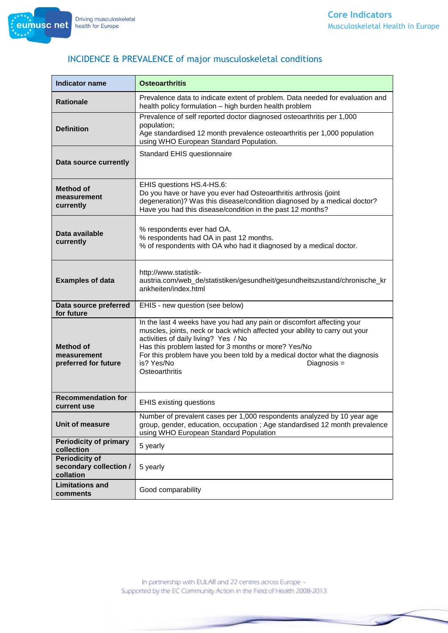

| <b>Indicator name</b>                                        | <b>Osteoarthritis</b>                                                                                                                                                                                                                                                                                                                                                              |
|--------------------------------------------------------------|------------------------------------------------------------------------------------------------------------------------------------------------------------------------------------------------------------------------------------------------------------------------------------------------------------------------------------------------------------------------------------|
| <b>Rationale</b>                                             | Prevalence data to indicate extent of problem. Data needed for evaluation and<br>health policy formulation - high burden health problem                                                                                                                                                                                                                                            |
| <b>Definition</b>                                            | Prevalence of self reported doctor diagnosed osteoarthritis per 1,000<br>population;<br>Age standardised 12 month prevalence osteoarthritis per 1,000 population<br>using WHO European Standard Population.                                                                                                                                                                        |
| Data source currently                                        | Standard EHIS questionnaire                                                                                                                                                                                                                                                                                                                                                        |
| <b>Method of</b><br>measurement<br>currently                 | EHIS questions HS.4-HS.6:<br>Do you have or have you ever had Osteoarthritis arthrosis (joint<br>degeneration)? Was this disease/condition diagnosed by a medical doctor?<br>Have you had this disease/condition in the past 12 months?                                                                                                                                            |
| Data available<br>currently                                  | % respondents ever had OA.<br>% respondents had OA in past 12 months.<br>% of respondents with OA who had it diagnosed by a medical doctor.                                                                                                                                                                                                                                        |
| <b>Examples of data</b>                                      | http://www.statistik-<br>austria.com/web_de/statistiken/gesundheit/gesundheitszustand/chronische_kr<br>ankheiten/index.html                                                                                                                                                                                                                                                        |
| Data source preferred<br>for future                          | EHIS - new question (see below)                                                                                                                                                                                                                                                                                                                                                    |
| <b>Method of</b><br>measurement<br>preferred for future      | In the last 4 weeks have you had any pain or discomfort affecting your<br>muscles, joints, neck or back which affected your ability to carry out your<br>activities of daily living? Yes / No<br>Has this problem lasted for 3 months or more? Yes/No<br>For this problem have you been told by a medical doctor what the diagnosis<br>is? Yes/No<br>Diagnosis =<br>Osteoarthritis |
| <b>Recommendation for</b><br>current use                     | <b>EHIS existing questions</b>                                                                                                                                                                                                                                                                                                                                                     |
| Unit of measure                                              | Number of prevalent cases per 1,000 respondents analyzed by 10 year age<br>group, gender, education, occupation ; Age standardised 12 month prevalence<br>using WHO European Standard Population                                                                                                                                                                                   |
| <b>Periodicity of primary</b><br>collection                  | 5 yearly                                                                                                                                                                                                                                                                                                                                                                           |
| <b>Periodicity of</b><br>secondary collection /<br>collation | 5 yearly                                                                                                                                                                                                                                                                                                                                                                           |
| <b>Limitations and</b><br>comments                           | Good comparability                                                                                                                                                                                                                                                                                                                                                                 |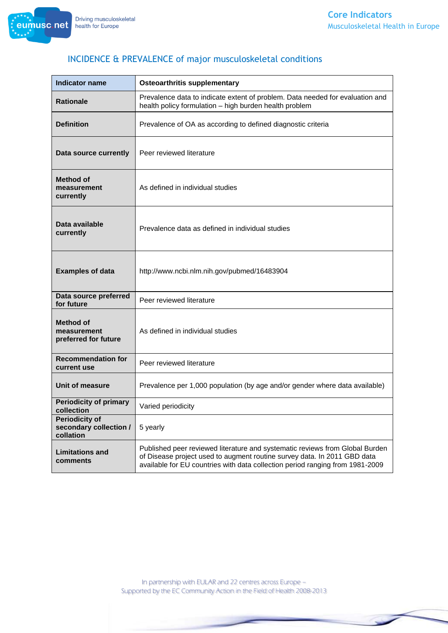

| <b>Indicator name</b>                                        | <b>Osteoarthritis supplementary</b>                                                                                                                                                                                                       |
|--------------------------------------------------------------|-------------------------------------------------------------------------------------------------------------------------------------------------------------------------------------------------------------------------------------------|
| <b>Rationale</b>                                             | Prevalence data to indicate extent of problem. Data needed for evaluation and<br>health policy formulation - high burden health problem                                                                                                   |
| <b>Definition</b>                                            | Prevalence of OA as according to defined diagnostic criteria                                                                                                                                                                              |
| Data source currently                                        | Peer reviewed literature                                                                                                                                                                                                                  |
| <b>Method of</b><br>measurement<br>currently                 | As defined in individual studies                                                                                                                                                                                                          |
| Data available<br>currently                                  | Prevalence data as defined in individual studies                                                                                                                                                                                          |
| <b>Examples of data</b>                                      | http://www.ncbi.nlm.nih.gov/pubmed/16483904                                                                                                                                                                                               |
| Data source preferred<br>for future                          | Peer reviewed literature                                                                                                                                                                                                                  |
| <b>Method of</b><br>measurement<br>preferred for future      | As defined in individual studies                                                                                                                                                                                                          |
| <b>Recommendation for</b><br>current use                     | Peer reviewed literature                                                                                                                                                                                                                  |
| <b>Unit of measure</b>                                       | Prevalence per 1,000 population (by age and/or gender where data available)                                                                                                                                                               |
| <b>Periodicity of primary</b><br>collection                  | Varied periodicity                                                                                                                                                                                                                        |
| <b>Periodicity of</b><br>secondary collection /<br>collation | 5 yearly                                                                                                                                                                                                                                  |
| <b>Limitations and</b><br>comments                           | Published peer reviewed literature and systematic reviews from Global Burden<br>of Disease project used to augment routine survey data. In 2011 GBD data<br>available for EU countries with data collection period ranging from 1981-2009 |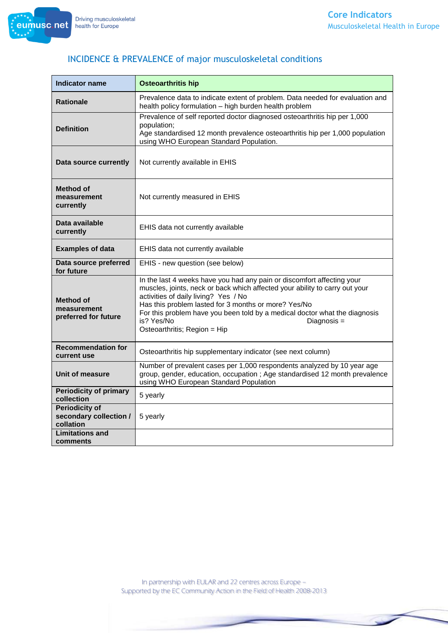eumusc.net



# INCIDENCE & PREVALENCE of major musculoskeletal conditions

| <b>Indicator name</b>                                        | <b>Osteoarthritis hip</b>                                                                                                                                                                                                                                                                                                                                                                        |
|--------------------------------------------------------------|--------------------------------------------------------------------------------------------------------------------------------------------------------------------------------------------------------------------------------------------------------------------------------------------------------------------------------------------------------------------------------------------------|
| <b>Rationale</b>                                             | Prevalence data to indicate extent of problem. Data needed for evaluation and<br>health policy formulation - high burden health problem                                                                                                                                                                                                                                                          |
| <b>Definition</b>                                            | Prevalence of self reported doctor diagnosed osteoarthritis hip per 1,000<br>population;<br>Age standardised 12 month prevalence osteoarthritis hip per 1,000 population<br>using WHO European Standard Population.                                                                                                                                                                              |
| Data source currently                                        | Not currently available in EHIS                                                                                                                                                                                                                                                                                                                                                                  |
| Method of<br>measurement<br>currently                        | Not currently measured in EHIS                                                                                                                                                                                                                                                                                                                                                                   |
| Data available<br>currently                                  | EHIS data not currently available                                                                                                                                                                                                                                                                                                                                                                |
| <b>Examples of data</b>                                      | EHIS data not currently available                                                                                                                                                                                                                                                                                                                                                                |
| Data source preferred<br>for future                          | EHIS - new question (see below)                                                                                                                                                                                                                                                                                                                                                                  |
| <b>Method of</b><br>measurement<br>preferred for future      | In the last 4 weeks have you had any pain or discomfort affecting your<br>muscles, joints, neck or back which affected your ability to carry out your<br>activities of daily living? Yes / No<br>Has this problem lasted for 3 months or more? Yes/No<br>For this problem have you been told by a medical doctor what the diagnosis<br>is? Yes/No<br>Diagnosis =<br>Osteoarthritis; Region = Hip |
| <b>Recommendation for</b><br>current use                     | Osteoarthritis hip supplementary indicator (see next column)                                                                                                                                                                                                                                                                                                                                     |
| Unit of measure                                              | Number of prevalent cases per 1,000 respondents analyzed by 10 year age<br>group, gender, education, occupation; Age standardised 12 month prevalence<br>using WHO European Standard Population                                                                                                                                                                                                  |
| <b>Periodicity of primary</b><br>collection                  | 5 yearly                                                                                                                                                                                                                                                                                                                                                                                         |
| <b>Periodicity of</b><br>secondary collection /<br>collation | 5 yearly                                                                                                                                                                                                                                                                                                                                                                                         |
| <b>Limitations and</b><br>comments                           |                                                                                                                                                                                                                                                                                                                                                                                                  |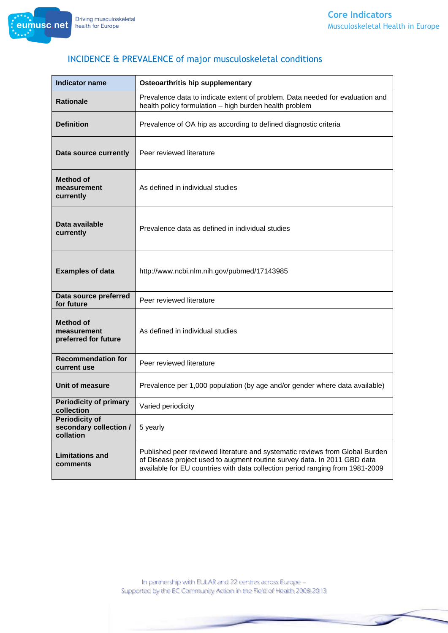

| <b>Indicator name</b>                                        | <b>Osteoarthritis hip supplementary</b>                                                                                                                                                                                                   |
|--------------------------------------------------------------|-------------------------------------------------------------------------------------------------------------------------------------------------------------------------------------------------------------------------------------------|
| <b>Rationale</b>                                             | Prevalence data to indicate extent of problem. Data needed for evaluation and<br>health policy formulation - high burden health problem                                                                                                   |
| <b>Definition</b>                                            | Prevalence of OA hip as according to defined diagnostic criteria                                                                                                                                                                          |
| Data source currently                                        | Peer reviewed literature                                                                                                                                                                                                                  |
| <b>Method of</b><br>measurement<br>currently                 | As defined in individual studies                                                                                                                                                                                                          |
| Data available<br>currently                                  | Prevalence data as defined in individual studies                                                                                                                                                                                          |
| <b>Examples of data</b>                                      | http://www.ncbi.nlm.nih.gov/pubmed/17143985                                                                                                                                                                                               |
| Data source preferred<br>for future                          | Peer reviewed literature                                                                                                                                                                                                                  |
| <b>Method of</b><br>measurement<br>preferred for future      | As defined in individual studies                                                                                                                                                                                                          |
| <b>Recommendation for</b><br>current use                     | Peer reviewed literature                                                                                                                                                                                                                  |
| Unit of measure                                              | Prevalence per 1,000 population (by age and/or gender where data available)                                                                                                                                                               |
| <b>Periodicity of primary</b><br>collection                  | Varied periodicity                                                                                                                                                                                                                        |
| <b>Periodicity of</b><br>secondary collection /<br>collation | 5 yearly                                                                                                                                                                                                                                  |
| <b>Limitations and</b><br>comments                           | Published peer reviewed literature and systematic reviews from Global Burden<br>of Disease project used to augment routine survey data. In 2011 GBD data<br>available for EU countries with data collection period ranging from 1981-2009 |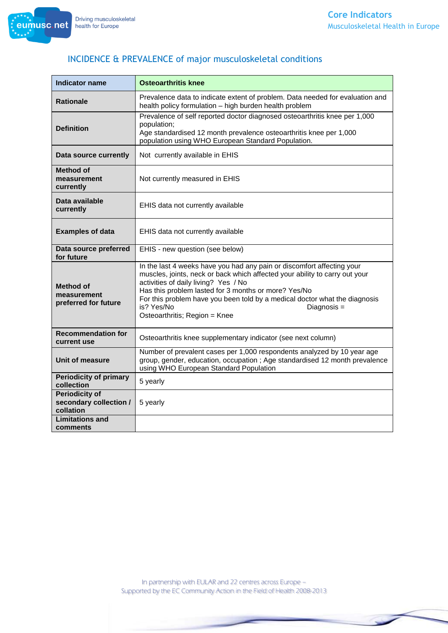eumusc.net

# INCIDENCE & PREVALENCE of major musculoskeletal conditions

| <b>Indicator name</b>                                        | <b>Osteoarthritis knee</b>                                                                                                                                                                                                                                                                                                                                                                        |
|--------------------------------------------------------------|---------------------------------------------------------------------------------------------------------------------------------------------------------------------------------------------------------------------------------------------------------------------------------------------------------------------------------------------------------------------------------------------------|
| <b>Rationale</b>                                             | Prevalence data to indicate extent of problem. Data needed for evaluation and<br>health policy formulation - high burden health problem                                                                                                                                                                                                                                                           |
| <b>Definition</b>                                            | Prevalence of self reported doctor diagnosed osteoarthritis knee per 1,000<br>population;<br>Age standardised 12 month prevalence osteoarthritis knee per 1,000<br>population using WHO European Standard Population.                                                                                                                                                                             |
| Data source currently                                        | Not currently available in EHIS                                                                                                                                                                                                                                                                                                                                                                   |
| Method of<br>measurement<br>currently                        | Not currently measured in EHIS                                                                                                                                                                                                                                                                                                                                                                    |
| Data available<br>currently                                  | EHIS data not currently available                                                                                                                                                                                                                                                                                                                                                                 |
| <b>Examples of data</b>                                      | EHIS data not currently available                                                                                                                                                                                                                                                                                                                                                                 |
| Data source preferred<br>for future                          | EHIS - new question (see below)                                                                                                                                                                                                                                                                                                                                                                   |
| <b>Method of</b><br>measurement<br>preferred for future      | In the last 4 weeks have you had any pain or discomfort affecting your<br>muscles, joints, neck or back which affected your ability to carry out your<br>activities of daily living? Yes / No<br>Has this problem lasted for 3 months or more? Yes/No<br>For this problem have you been told by a medical doctor what the diagnosis<br>is? Yes/No<br>Diagnosis =<br>Osteoarthritis; Region = Knee |
| <b>Recommendation for</b><br>current use                     | Osteoarthritis knee supplementary indicator (see next column)                                                                                                                                                                                                                                                                                                                                     |
| Unit of measure                                              | Number of prevalent cases per 1,000 respondents analyzed by 10 year age<br>group, gender, education, occupation; Age standardised 12 month prevalence<br>using WHO European Standard Population                                                                                                                                                                                                   |
| <b>Periodicity of primary</b><br>collection                  | 5 yearly                                                                                                                                                                                                                                                                                                                                                                                          |
| <b>Periodicity of</b><br>secondary collection /<br>collation | 5 yearly                                                                                                                                                                                                                                                                                                                                                                                          |
| <b>Limitations and</b><br>comments                           |                                                                                                                                                                                                                                                                                                                                                                                                   |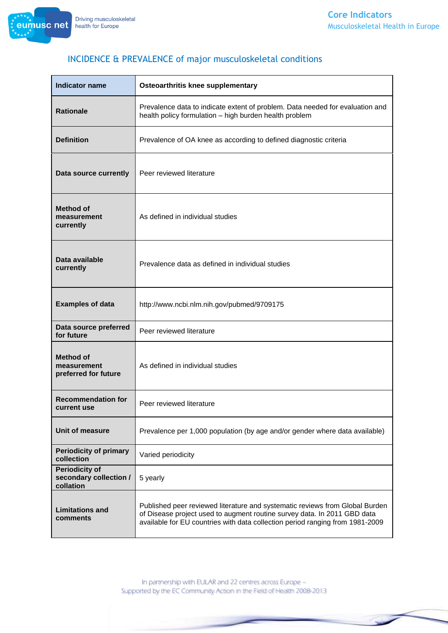

| <b>Indicator name</b>                                        | Osteoarthritis knee supplementary                                                                                                                                                                                                         |
|--------------------------------------------------------------|-------------------------------------------------------------------------------------------------------------------------------------------------------------------------------------------------------------------------------------------|
| <b>Rationale</b>                                             | Prevalence data to indicate extent of problem. Data needed for evaluation and<br>health policy formulation - high burden health problem                                                                                                   |
| <b>Definition</b>                                            | Prevalence of OA knee as according to defined diagnostic criteria                                                                                                                                                                         |
| Data source currently                                        | Peer reviewed literature                                                                                                                                                                                                                  |
| <b>Method of</b><br>measurement<br>currently                 | As defined in individual studies                                                                                                                                                                                                          |
| Data available<br>currently                                  | Prevalence data as defined in individual studies                                                                                                                                                                                          |
| <b>Examples of data</b>                                      | http://www.ncbi.nlm.nih.gov/pubmed/9709175                                                                                                                                                                                                |
| Data source preferred<br>for future                          | Peer reviewed literature                                                                                                                                                                                                                  |
| <b>Method of</b><br>measurement<br>preferred for future      | As defined in individual studies                                                                                                                                                                                                          |
| <b>Recommendation for</b><br>current use                     | Peer reviewed literature                                                                                                                                                                                                                  |
| Unit of measure                                              | Prevalence per 1,000 population (by age and/or gender where data available)                                                                                                                                                               |
| <b>Periodicity of primary</b><br>collection                  | Varied periodicity                                                                                                                                                                                                                        |
| <b>Periodicity of</b><br>secondary collection /<br>collation | 5 yearly                                                                                                                                                                                                                                  |
| <b>Limitations and</b><br>comments                           | Published peer reviewed literature and systematic reviews from Global Burden<br>of Disease project used to augment routine survey data. In 2011 GBD data<br>available for EU countries with data collection period ranging from 1981-2009 |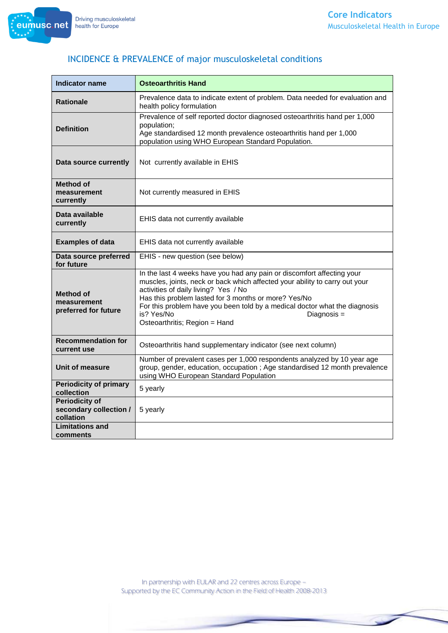eumusc.net



# INCIDENCE & PREVALENCE of major musculoskeletal conditions

| <b>Indicator name</b>                                        | <b>Osteoarthritis Hand</b>                                                                                                                                                                                                                                                                                                                                                                        |
|--------------------------------------------------------------|---------------------------------------------------------------------------------------------------------------------------------------------------------------------------------------------------------------------------------------------------------------------------------------------------------------------------------------------------------------------------------------------------|
| <b>Rationale</b>                                             | Prevalence data to indicate extent of problem. Data needed for evaluation and<br>health policy formulation                                                                                                                                                                                                                                                                                        |
| <b>Definition</b>                                            | Prevalence of self reported doctor diagnosed osteoarthritis hand per 1,000<br>population;<br>Age standardised 12 month prevalence osteoarthritis hand per 1,000<br>population using WHO European Standard Population.                                                                                                                                                                             |
| Data source currently                                        | Not currently available in EHIS                                                                                                                                                                                                                                                                                                                                                                   |
| Method of<br>measurement<br>currently                        | Not currently measured in EHIS                                                                                                                                                                                                                                                                                                                                                                    |
| Data available<br>currently                                  | EHIS data not currently available                                                                                                                                                                                                                                                                                                                                                                 |
| <b>Examples of data</b>                                      | EHIS data not currently available                                                                                                                                                                                                                                                                                                                                                                 |
| Data source preferred<br>for future                          | EHIS - new question (see below)                                                                                                                                                                                                                                                                                                                                                                   |
| <b>Method of</b><br>measurement<br>preferred for future      | In the last 4 weeks have you had any pain or discomfort affecting your<br>muscles, joints, neck or back which affected your ability to carry out your<br>activities of daily living? Yes / No<br>Has this problem lasted for 3 months or more? Yes/No<br>For this problem have you been told by a medical doctor what the diagnosis<br>is? Yes/No<br>Diagnosis =<br>Osteoarthritis; Region = Hand |
| <b>Recommendation for</b><br>current use                     | Osteoarthritis hand supplementary indicator (see next column)                                                                                                                                                                                                                                                                                                                                     |
| Unit of measure                                              | Number of prevalent cases per 1,000 respondents analyzed by 10 year age<br>group, gender, education, occupation ; Age standardised 12 month prevalence<br>using WHO European Standard Population                                                                                                                                                                                                  |
| <b>Periodicity of primary</b><br>collection                  | 5 yearly                                                                                                                                                                                                                                                                                                                                                                                          |
| <b>Periodicity of</b><br>secondary collection /<br>collation | 5 yearly                                                                                                                                                                                                                                                                                                                                                                                          |
| <b>Limitations and</b><br>comments                           |                                                                                                                                                                                                                                                                                                                                                                                                   |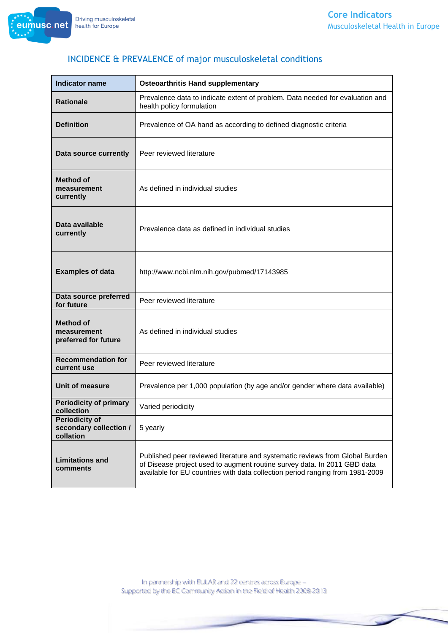

| <b>Indicator name</b>                                        | <b>Osteoarthritis Hand supplementary</b>                                                                                                                                                                                                  |
|--------------------------------------------------------------|-------------------------------------------------------------------------------------------------------------------------------------------------------------------------------------------------------------------------------------------|
| <b>Rationale</b>                                             | Prevalence data to indicate extent of problem. Data needed for evaluation and<br>health policy formulation                                                                                                                                |
| <b>Definition</b>                                            | Prevalence of OA hand as according to defined diagnostic criteria                                                                                                                                                                         |
| Data source currently                                        | Peer reviewed literature                                                                                                                                                                                                                  |
| Method of<br>measurement<br>currently                        | As defined in individual studies                                                                                                                                                                                                          |
| Data available<br>currently                                  | Prevalence data as defined in individual studies                                                                                                                                                                                          |
| <b>Examples of data</b>                                      | http://www.ncbi.nlm.nih.gov/pubmed/17143985                                                                                                                                                                                               |
| Data source preferred<br>for future                          | Peer reviewed literature                                                                                                                                                                                                                  |
| <b>Method of</b><br>measurement<br>preferred for future      | As defined in individual studies                                                                                                                                                                                                          |
| <b>Recommendation for</b><br>current use                     | Peer reviewed literature                                                                                                                                                                                                                  |
| Unit of measure                                              | Prevalence per 1,000 population (by age and/or gender where data available)                                                                                                                                                               |
| <b>Periodicity of primary</b><br>collection                  | Varied periodicity                                                                                                                                                                                                                        |
| <b>Periodicity of</b><br>secondary collection /<br>collation | 5 yearly                                                                                                                                                                                                                                  |
| <b>Limitations and</b><br>comments                           | Published peer reviewed literature and systematic reviews from Global Burden<br>of Disease project used to augment routine survey data. In 2011 GBD data<br>available for EU countries with data collection period ranging from 1981-2009 |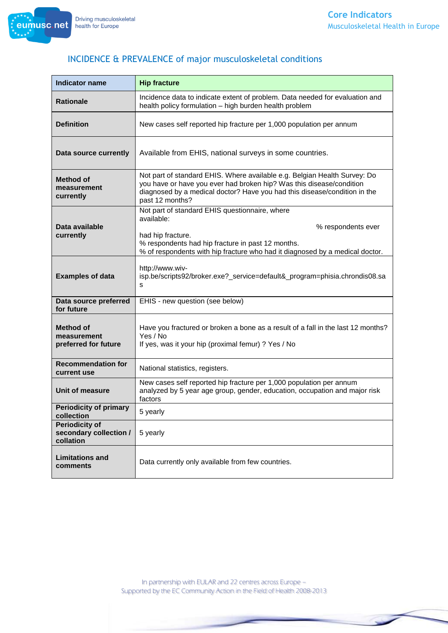

| <b>Indicator name</b>                                        | <b>Hip fracture</b>                                                                                                                                                                                                                               |
|--------------------------------------------------------------|---------------------------------------------------------------------------------------------------------------------------------------------------------------------------------------------------------------------------------------------------|
| <b>Rationale</b>                                             | Incidence data to indicate extent of problem. Data needed for evaluation and<br>health policy formulation - high burden health problem                                                                                                            |
| <b>Definition</b>                                            | New cases self reported hip fracture per 1,000 population per annum                                                                                                                                                                               |
| Data source currently                                        | Available from EHIS, national surveys in some countries.                                                                                                                                                                                          |
| <b>Method of</b><br>measurement<br>currently                 | Not part of standard EHIS. Where available e.g. Belgian Health Survey: Do<br>you have or have you ever had broken hip? Was this disease/condition<br>diagnosed by a medical doctor? Have you had this disease/condition in the<br>past 12 months? |
|                                                              | Not part of standard EHIS questionnaire, where<br>available:                                                                                                                                                                                      |
| Data available                                               | % respondents ever<br>had hip fracture.                                                                                                                                                                                                           |
| currently                                                    | % respondents had hip fracture in past 12 months.<br>% of respondents with hip fracture who had it diagnosed by a medical doctor.                                                                                                                 |
| <b>Examples of data</b>                                      | http://www.wiv-<br>isp.be/scripts92/broker.exe?_service=default&_program=phisia.chrondis08.sa<br>s                                                                                                                                                |
| Data source preferred<br>for future                          | EHIS - new question (see below)                                                                                                                                                                                                                   |
| <b>Method of</b><br>measurement<br>preferred for future      | Have you fractured or broken a bone as a result of a fall in the last 12 months?<br>Yes / No<br>If yes, was it your hip (proximal femur) ? Yes / No                                                                                               |
| <b>Recommendation for</b><br>current use                     | National statistics, registers.                                                                                                                                                                                                                   |
| Unit of measure                                              | New cases self reported hip fracture per 1,000 population per annum<br>analyzed by 5 year age group, gender, education, occupation and major risk<br>factors                                                                                      |
| <b>Periodicity of primary</b><br>collection                  | 5 yearly                                                                                                                                                                                                                                          |
| <b>Periodicity of</b><br>secondary collection /<br>collation | 5 yearly                                                                                                                                                                                                                                          |
| <b>Limitations and</b><br>comments                           | Data currently only available from few countries.                                                                                                                                                                                                 |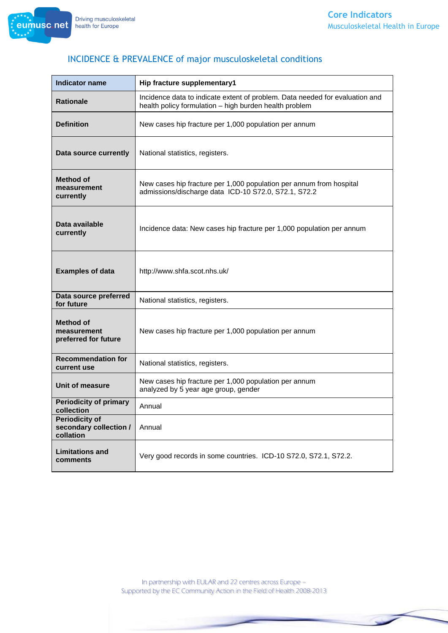

| <b>Indicator name</b>                                        | Hip fracture supplementary1                                                                                                            |
|--------------------------------------------------------------|----------------------------------------------------------------------------------------------------------------------------------------|
| <b>Rationale</b>                                             | Incidence data to indicate extent of problem. Data needed for evaluation and<br>health policy formulation - high burden health problem |
| <b>Definition</b>                                            | New cases hip fracture per 1,000 population per annum                                                                                  |
| Data source currently                                        | National statistics, registers.                                                                                                        |
| <b>Method of</b><br>measurement<br>currently                 | New cases hip fracture per 1,000 population per annum from hospital<br>admissions/discharge data ICD-10 S72.0, S72.1, S72.2            |
| Data available<br>currently                                  | Incidence data: New cases hip fracture per 1,000 population per annum                                                                  |
| <b>Examples of data</b>                                      | http://www.shfa.scot.nhs.uk/                                                                                                           |
| Data source preferred<br>for future                          | National statistics, registers.                                                                                                        |
| <b>Method of</b><br>measurement<br>preferred for future      | New cases hip fracture per 1,000 population per annum                                                                                  |
| <b>Recommendation for</b><br>current use                     | National statistics, registers.                                                                                                        |
| Unit of measure                                              | New cases hip fracture per 1,000 population per annum<br>analyzed by 5 year age group, gender                                          |
| <b>Periodicity of primary</b><br>collection                  | Annual                                                                                                                                 |
| <b>Periodicity of</b><br>secondary collection /<br>collation | Annual                                                                                                                                 |
| <b>Limitations and</b><br>comments                           | Very good records in some countries. ICD-10 S72.0, S72.1, S72.2.                                                                       |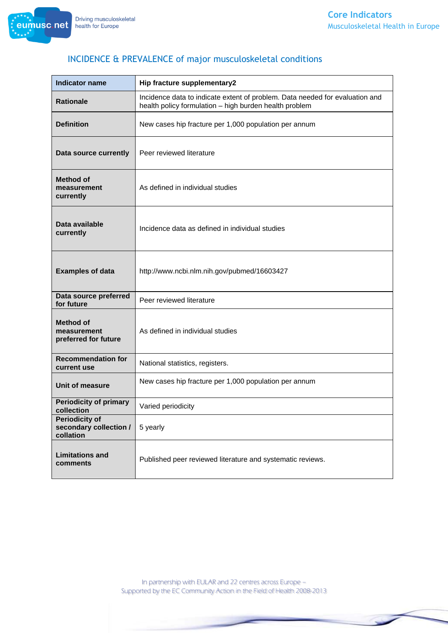

| <b>Indicator name</b>                                        | Hip fracture supplementary2                                                                                                            |
|--------------------------------------------------------------|----------------------------------------------------------------------------------------------------------------------------------------|
| <b>Rationale</b>                                             | Incidence data to indicate extent of problem. Data needed for evaluation and<br>health policy formulation - high burden health problem |
| <b>Definition</b>                                            | New cases hip fracture per 1,000 population per annum                                                                                  |
| Data source currently                                        | Peer reviewed literature                                                                                                               |
| <b>Method of</b><br>measurement<br>currently                 | As defined in individual studies                                                                                                       |
| Data available<br>currently                                  | Incidence data as defined in individual studies                                                                                        |
| <b>Examples of data</b>                                      | http://www.ncbi.nlm.nih.gov/pubmed/16603427                                                                                            |
| Data source preferred<br>for future                          | Peer reviewed literature                                                                                                               |
| <b>Method of</b><br>measurement<br>preferred for future      | As defined in individual studies                                                                                                       |
| <b>Recommendation for</b><br>current use                     | National statistics, registers.                                                                                                        |
| Unit of measure                                              | New cases hip fracture per 1,000 population per annum                                                                                  |
| <b>Periodicity of primary</b><br>collection                  | Varied periodicity                                                                                                                     |
| <b>Periodicity of</b><br>secondary collection /<br>collation | 5 yearly                                                                                                                               |
| <b>Limitations and</b><br>comments                           | Published peer reviewed literature and systematic reviews.                                                                             |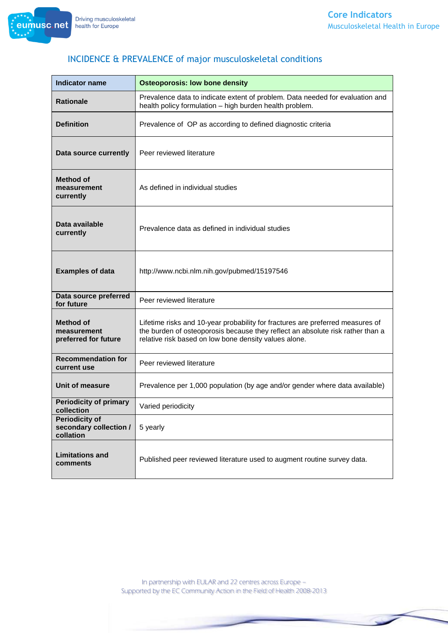

| <b>Indicator name</b>                                        | <b>Osteoporosis: low bone density</b>                                                                                                                                                                                     |
|--------------------------------------------------------------|---------------------------------------------------------------------------------------------------------------------------------------------------------------------------------------------------------------------------|
| <b>Rationale</b>                                             | Prevalence data to indicate extent of problem. Data needed for evaluation and<br>health policy formulation - high burden health problem.                                                                                  |
| <b>Definition</b>                                            | Prevalence of OP as according to defined diagnostic criteria                                                                                                                                                              |
| Data source currently                                        | Peer reviewed literature                                                                                                                                                                                                  |
| <b>Method of</b><br>measurement<br>currently                 | As defined in individual studies                                                                                                                                                                                          |
| Data available<br>currently                                  | Prevalence data as defined in individual studies                                                                                                                                                                          |
| <b>Examples of data</b>                                      | http://www.ncbi.nlm.nih.gov/pubmed/15197546                                                                                                                                                                               |
| Data source preferred<br>for future                          | Peer reviewed literature                                                                                                                                                                                                  |
| <b>Method of</b><br>measurement<br>preferred for future      | Lifetime risks and 10-year probability for fractures are preferred measures of<br>the burden of osteoporosis because they reflect an absolute risk rather than a<br>relative risk based on low bone density values alone. |
| <b>Recommendation for</b><br>current use                     | Peer reviewed literature                                                                                                                                                                                                  |
| Unit of measure                                              | Prevalence per 1,000 population (by age and/or gender where data available)                                                                                                                                               |
| <b>Periodicity of primary</b><br>collection                  | Varied periodicity                                                                                                                                                                                                        |
| <b>Periodicity of</b><br>secondary collection /<br>collation | 5 yearly                                                                                                                                                                                                                  |
| <b>Limitations and</b><br>comments                           | Published peer reviewed literature used to augment routine survey data.                                                                                                                                                   |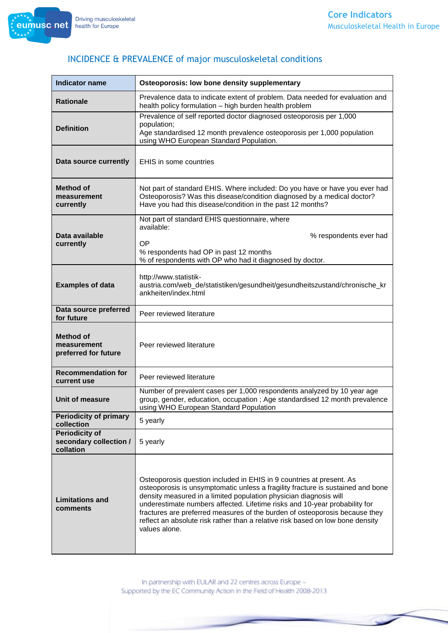

| <b>Indicator name</b>                                        | Osteoporosis: low bone density supplementary                                                                                                                                                                                                                                                                                                                                                                                                                                                 |
|--------------------------------------------------------------|----------------------------------------------------------------------------------------------------------------------------------------------------------------------------------------------------------------------------------------------------------------------------------------------------------------------------------------------------------------------------------------------------------------------------------------------------------------------------------------------|
| <b>Rationale</b>                                             | Prevalence data to indicate extent of problem. Data needed for evaluation and<br>health policy formulation - high burden health problem                                                                                                                                                                                                                                                                                                                                                      |
| <b>Definition</b>                                            | Prevalence of self reported doctor diagnosed osteoporosis per 1,000<br>population;<br>Age standardised 12 month prevalence osteoporosis per 1,000 population<br>using WHO European Standard Population.                                                                                                                                                                                                                                                                                      |
| Data source currently                                        | <b>EHIS in some countries</b>                                                                                                                                                                                                                                                                                                                                                                                                                                                                |
| <b>Method of</b><br>measurement<br>currently                 | Not part of standard EHIS. Where included: Do you have or have you ever had<br>Osteoporosis? Was this disease/condition diagnosed by a medical doctor?<br>Have you had this disease/condition in the past 12 months?                                                                                                                                                                                                                                                                         |
| Data available<br>currently                                  | Not part of standard EHIS questionnaire, where<br>available:<br>% respondents ever had<br>OP<br>% respondents had OP in past 12 months<br>% of respondents with OP who had it diagnosed by doctor.                                                                                                                                                                                                                                                                                           |
| <b>Examples of data</b>                                      | http://www.statistik-<br>austria.com/web_de/statistiken/gesundheit/gesundheitszustand/chronische_kr<br>ankheiten/index.html                                                                                                                                                                                                                                                                                                                                                                  |
| Data source preferred<br>for future                          | Peer reviewed literature                                                                                                                                                                                                                                                                                                                                                                                                                                                                     |
| <b>Method of</b><br>measurement<br>preferred for future      | Peer reviewed literature                                                                                                                                                                                                                                                                                                                                                                                                                                                                     |
| <b>Recommendation for</b><br>current use                     | Peer reviewed literature                                                                                                                                                                                                                                                                                                                                                                                                                                                                     |
| Unit of measure                                              | Number of prevalent cases per 1,000 respondents analyzed by 10 year age<br>group, gender, education, occupation ; Age standardised 12 month prevalence<br>using WHO European Standard Population                                                                                                                                                                                                                                                                                             |
| <b>Periodicity of primary</b><br>collection                  | 5 yearly                                                                                                                                                                                                                                                                                                                                                                                                                                                                                     |
| <b>Periodicity of</b><br>secondary collection /<br>collation | 5 yearly                                                                                                                                                                                                                                                                                                                                                                                                                                                                                     |
| <b>Limitations and</b><br>comments                           | Osteoporosis question included in EHIS in 9 countries at present. As<br>osteoporosis is unsymptomatic unless a fragility fracture is sustained and bone<br>density measured in a limited population physician diagnosis will<br>underestimate numbers affected. Lifetime risks and 10-year probability for<br>fractures are preferred measures of the burden of osteoporosis because they<br>reflect an absolute risk rather than a relative risk based on low bone density<br>values alone. |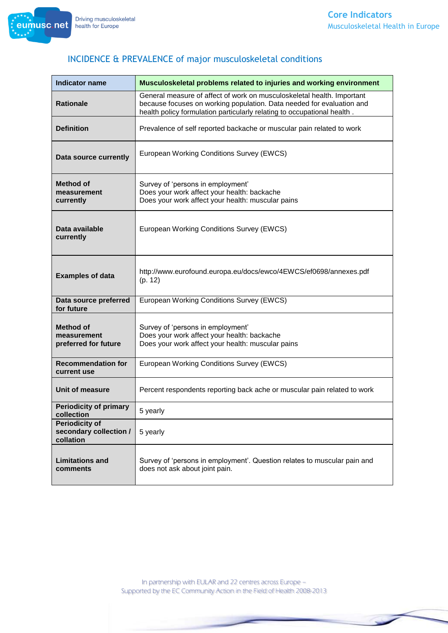

| <b>Indicator name</b>                                        | Musculoskeletal problems related to injuries and working environment                                                                                                                                                       |
|--------------------------------------------------------------|----------------------------------------------------------------------------------------------------------------------------------------------------------------------------------------------------------------------------|
| <b>Rationale</b>                                             | General measure of affect of work on musculoskeletal health. Important<br>because focuses on working population. Data needed for evaluation and<br>health policy formulation particularly relating to occupational health. |
| <b>Definition</b>                                            | Prevalence of self reported backache or muscular pain related to work                                                                                                                                                      |
| Data source currently                                        | European Working Conditions Survey (EWCS)                                                                                                                                                                                  |
| <b>Method of</b><br>measurement<br>currently                 | Survey of 'persons in employment'<br>Does your work affect your health: backache<br>Does your work affect your health: muscular pains                                                                                      |
| Data available<br>currently                                  | European Working Conditions Survey (EWCS)                                                                                                                                                                                  |
| <b>Examples of data</b>                                      | http://www.eurofound.europa.eu/docs/ewco/4EWCS/ef0698/annexes.pdf<br>(p. 12)                                                                                                                                               |
| Data source preferred<br>for future                          | European Working Conditions Survey (EWCS)                                                                                                                                                                                  |
| <b>Method of</b><br>measurement<br>preferred for future      | Survey of 'persons in employment'<br>Does your work affect your health: backache<br>Does your work affect your health: muscular pains                                                                                      |
| <b>Recommendation for</b><br>current use                     | European Working Conditions Survey (EWCS)                                                                                                                                                                                  |
| Unit of measure                                              | Percent respondents reporting back ache or muscular pain related to work                                                                                                                                                   |
| <b>Periodicity of primary</b><br>collection                  | 5 yearly                                                                                                                                                                                                                   |
| <b>Periodicity of</b><br>secondary collection /<br>collation | 5 yearly                                                                                                                                                                                                                   |
| <b>Limitations and</b><br>comments                           | Survey of 'persons in employment'. Question relates to muscular pain and<br>does not ask about joint pain.                                                                                                                 |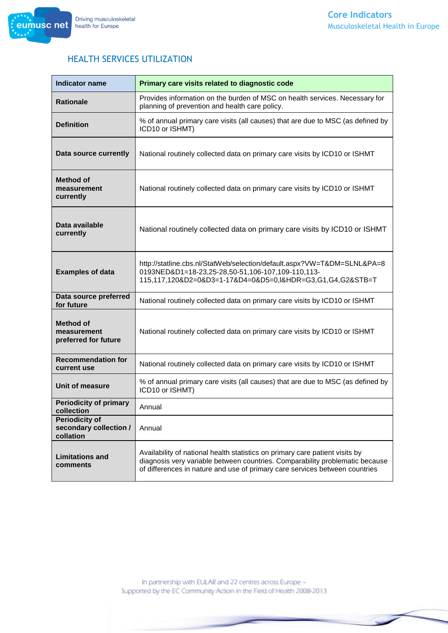

#### HEALTH SERVICES UTILIZATION

| <b>Indicator name</b>                                        | Primary care visits related to diagnostic code                                                                                                                                                                                              |
|--------------------------------------------------------------|---------------------------------------------------------------------------------------------------------------------------------------------------------------------------------------------------------------------------------------------|
| <b>Rationale</b>                                             | Provides information on the burden of MSC on health services. Necessary for<br>planning of prevention and health care policy.                                                                                                               |
| <b>Definition</b>                                            | % of annual primary care visits (all causes) that are due to MSC (as defined by<br>ICD10 or ISHMT)                                                                                                                                          |
| Data source currently                                        | National routinely collected data on primary care visits by ICD10 or ISHMT                                                                                                                                                                  |
| <b>Method of</b><br>measurement<br>currently                 | National routinely collected data on primary care visits by ICD10 or ISHMT                                                                                                                                                                  |
| Data available<br>currently                                  | National routinely collected data on primary care visits by ICD10 or ISHMT                                                                                                                                                                  |
| <b>Examples of data</b>                                      | http://statline.cbs.nl/StatWeb/selection/default.aspx?VW=T&DM=SLNL&PA=8<br>0193NED&D1=18-23,25-28,50-51,106-107,109-110,113-<br>115,117,120&D2=0&D3=1-17&D4=0&D5=0,I&HDR=G3,G1,G4,G2&STB=T                                                  |
| Data source preferred<br>for future                          | National routinely collected data on primary care visits by ICD10 or ISHMT                                                                                                                                                                  |
| <b>Method of</b><br>measurement<br>preferred for future      | National routinely collected data on primary care visits by ICD10 or ISHMT                                                                                                                                                                  |
| <b>Recommendation for</b><br>current use                     | National routinely collected data on primary care visits by ICD10 or ISHMT                                                                                                                                                                  |
| Unit of measure                                              | % of annual primary care visits (all causes) that are due to MSC (as defined by<br>ICD10 or ISHMT)                                                                                                                                          |
| <b>Periodicity of primary</b><br>collection                  | Annual                                                                                                                                                                                                                                      |
| <b>Periodicity of</b><br>secondary collection /<br>collation | Annual                                                                                                                                                                                                                                      |
| <b>Limitations and</b><br>comments                           | Availability of national health statistics on primary care patient visits by<br>diagnosis very variable between countries. Comparability problematic because<br>of differences in nature and use of primary care services between countries |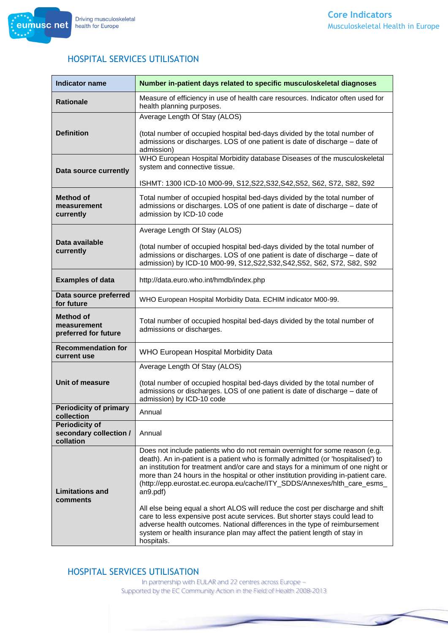

#### HOSPITAL SERVICES UTILISATION

| <b>Indicator name</b>                                        | Number in-patient days related to specific musculoskeletal diagnoses                                                                                                                                                                                                                                                                                                                                                                                                                                                                                                                                                                                                                                                                                                         |
|--------------------------------------------------------------|------------------------------------------------------------------------------------------------------------------------------------------------------------------------------------------------------------------------------------------------------------------------------------------------------------------------------------------------------------------------------------------------------------------------------------------------------------------------------------------------------------------------------------------------------------------------------------------------------------------------------------------------------------------------------------------------------------------------------------------------------------------------------|
| <b>Rationale</b>                                             | Measure of efficiency in use of health care resources. Indicator often used for<br>health planning purposes.                                                                                                                                                                                                                                                                                                                                                                                                                                                                                                                                                                                                                                                                 |
|                                                              | Average Length Of Stay (ALOS)                                                                                                                                                                                                                                                                                                                                                                                                                                                                                                                                                                                                                                                                                                                                                |
| <b>Definition</b>                                            | (total number of occupied hospital bed-days divided by the total number of<br>admissions or discharges. LOS of one patient is date of discharge - date of<br>admission)                                                                                                                                                                                                                                                                                                                                                                                                                                                                                                                                                                                                      |
| Data source currently                                        | WHO European Hospital Morbidity database Diseases of the musculoskeletal<br>system and connective tissue.                                                                                                                                                                                                                                                                                                                                                                                                                                                                                                                                                                                                                                                                    |
|                                                              | ISHMT: 1300 ICD-10 M00-99, S12, S22, S32, S42, S52, S62, S72, S82, S92                                                                                                                                                                                                                                                                                                                                                                                                                                                                                                                                                                                                                                                                                                       |
| <b>Method of</b><br>measurement<br>currently                 | Total number of occupied hospital bed-days divided by the total number of<br>admissions or discharges. LOS of one patient is date of discharge - date of<br>admission by ICD-10 code                                                                                                                                                                                                                                                                                                                                                                                                                                                                                                                                                                                         |
|                                                              | Average Length Of Stay (ALOS)                                                                                                                                                                                                                                                                                                                                                                                                                                                                                                                                                                                                                                                                                                                                                |
| Data available<br>currently                                  | (total number of occupied hospital bed-days divided by the total number of<br>admissions or discharges. LOS of one patient is date of discharge - date of<br>admission) by ICD-10 M00-99, S12, S22, S32, S42, S52, S62, S72, S82, S92                                                                                                                                                                                                                                                                                                                                                                                                                                                                                                                                        |
| <b>Examples of data</b>                                      | http://data.euro.who.int/hmdb/index.php                                                                                                                                                                                                                                                                                                                                                                                                                                                                                                                                                                                                                                                                                                                                      |
| Data source preferred<br>for future                          | WHO European Hospital Morbidity Data. ECHIM indicator M00-99.                                                                                                                                                                                                                                                                                                                                                                                                                                                                                                                                                                                                                                                                                                                |
| <b>Method of</b><br>measurement<br>preferred for future      | Total number of occupied hospital bed-days divided by the total number of<br>admissions or discharges.                                                                                                                                                                                                                                                                                                                                                                                                                                                                                                                                                                                                                                                                       |
| <b>Recommendation for</b><br>current use                     | WHO European Hospital Morbidity Data                                                                                                                                                                                                                                                                                                                                                                                                                                                                                                                                                                                                                                                                                                                                         |
|                                                              | Average Length Of Stay (ALOS)                                                                                                                                                                                                                                                                                                                                                                                                                                                                                                                                                                                                                                                                                                                                                |
| Unit of measure                                              | (total number of occupied hospital bed-days divided by the total number of<br>admissions or discharges. LOS of one patient is date of discharge - date of<br>admission) by ICD-10 code                                                                                                                                                                                                                                                                                                                                                                                                                                                                                                                                                                                       |
| <b>Periodicity of primary</b><br>collection                  | Annual                                                                                                                                                                                                                                                                                                                                                                                                                                                                                                                                                                                                                                                                                                                                                                       |
| <b>Periodicity of</b><br>secondary collection /<br>collation | Annual                                                                                                                                                                                                                                                                                                                                                                                                                                                                                                                                                                                                                                                                                                                                                                       |
| <b>Limitations and</b><br>comments                           | Does not include patients who do not remain overnight for some reason (e.g.<br>death). An in-patient is a patient who is formally admitted (or 'hospitalised') to<br>an institution for treatment and/or care and stays for a minimum of one night or<br>more than 24 hours in the hospital or other institution providing in-patient care.<br>(http://epp.eurostat.ec.europa.eu/cache/ITY_SDDS/Annexes/hlth_care_esms_<br>an9.pdf)<br>All else being equal a short ALOS will reduce the cost per discharge and shift<br>care to less expensive post acute services. But shorter stays could lead to<br>adverse health outcomes. National differences in the type of reimbursement<br>system or health insurance plan may affect the patient length of stay in<br>hospitals. |

#### HOSPITAL SERVICES UTILISATION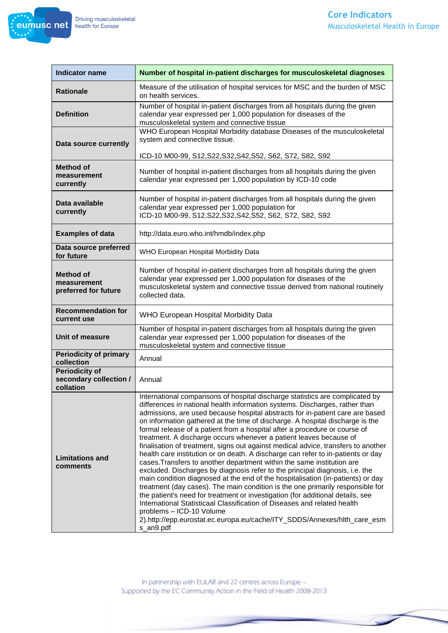

| <b>Indicator name</b>                                        | Number of hospital in-patient discharges for musculoskeletal diagnoses                                                                                                                                                                                                                                                                                                                                                                                                                                                                                                                                                                                                                                                                                                                                                                                                                                                                                                                                                                                                                                                                                                                                                                                                        |
|--------------------------------------------------------------|-------------------------------------------------------------------------------------------------------------------------------------------------------------------------------------------------------------------------------------------------------------------------------------------------------------------------------------------------------------------------------------------------------------------------------------------------------------------------------------------------------------------------------------------------------------------------------------------------------------------------------------------------------------------------------------------------------------------------------------------------------------------------------------------------------------------------------------------------------------------------------------------------------------------------------------------------------------------------------------------------------------------------------------------------------------------------------------------------------------------------------------------------------------------------------------------------------------------------------------------------------------------------------|
| <b>Rationale</b>                                             | Measure of the utilisation of hospital services for MSC and the burden of MSC<br>on health services.                                                                                                                                                                                                                                                                                                                                                                                                                                                                                                                                                                                                                                                                                                                                                                                                                                                                                                                                                                                                                                                                                                                                                                          |
| <b>Definition</b>                                            | Number of hospital in-patient discharges from all hospitals during the given<br>calendar year expressed per 1,000 population for diseases of the<br>musculoskeletal system and connective tissue                                                                                                                                                                                                                                                                                                                                                                                                                                                                                                                                                                                                                                                                                                                                                                                                                                                                                                                                                                                                                                                                              |
| Data source currently                                        | WHO European Hospital Morbidity database Diseases of the musculoskeletal<br>system and connective tissue.                                                                                                                                                                                                                                                                                                                                                                                                                                                                                                                                                                                                                                                                                                                                                                                                                                                                                                                                                                                                                                                                                                                                                                     |
| <b>Method of</b><br>measurement<br>currently                 | ICD-10 M00-99, S12, S22, S32, S42, S52, S62, S72, S82, S92<br>Number of hospital in-patient discharges from all hospitals during the given<br>calendar year expressed per 1,000 population by ICD-10 code                                                                                                                                                                                                                                                                                                                                                                                                                                                                                                                                                                                                                                                                                                                                                                                                                                                                                                                                                                                                                                                                     |
| Data available<br>currently                                  | Number of hospital in-patient discharges from all hospitals during the given<br>calendar year expressed per 1,000 population for<br>ICD-10 M00-99, S12, S22, S32, S42, S52, S62, S72, S82, S92                                                                                                                                                                                                                                                                                                                                                                                                                                                                                                                                                                                                                                                                                                                                                                                                                                                                                                                                                                                                                                                                                |
| <b>Examples of data</b>                                      | http://data.euro.who.int/hmdb/index.php                                                                                                                                                                                                                                                                                                                                                                                                                                                                                                                                                                                                                                                                                                                                                                                                                                                                                                                                                                                                                                                                                                                                                                                                                                       |
| Data source preferred<br>for future                          | WHO European Hospital Morbidity Data                                                                                                                                                                                                                                                                                                                                                                                                                                                                                                                                                                                                                                                                                                                                                                                                                                                                                                                                                                                                                                                                                                                                                                                                                                          |
| <b>Method of</b><br>measurement<br>preferred for future      | Number of hospital in-patient discharges from all hospitals during the given<br>calendar year expressed per 1,000 population for diseases of the<br>musculoskeletal system and connective tissue derived from national routinely<br>collected data.                                                                                                                                                                                                                                                                                                                                                                                                                                                                                                                                                                                                                                                                                                                                                                                                                                                                                                                                                                                                                           |
| <b>Recommendation for</b><br>current use                     | WHO European Hospital Morbidity Data                                                                                                                                                                                                                                                                                                                                                                                                                                                                                                                                                                                                                                                                                                                                                                                                                                                                                                                                                                                                                                                                                                                                                                                                                                          |
| Unit of measure                                              | Number of hospital in-patient discharges from all hospitals during the given<br>calendar year expressed per 1,000 population for diseases of the<br>musculoskeletal system and connective tissue                                                                                                                                                                                                                                                                                                                                                                                                                                                                                                                                                                                                                                                                                                                                                                                                                                                                                                                                                                                                                                                                              |
| <b>Periodicity of primary</b><br>collection                  | Annual                                                                                                                                                                                                                                                                                                                                                                                                                                                                                                                                                                                                                                                                                                                                                                                                                                                                                                                                                                                                                                                                                                                                                                                                                                                                        |
| <b>Periodicity of</b><br>secondary collection /<br>collation | Annual                                                                                                                                                                                                                                                                                                                                                                                                                                                                                                                                                                                                                                                                                                                                                                                                                                                                                                                                                                                                                                                                                                                                                                                                                                                                        |
| <b>Limitations and</b><br>comments                           | International comparisons of hospital discharge statistics are complicated by<br>differences in national health information systems. Discharges, rather than<br>admissions, are used because hospital abstracts for in-patient care are based<br>on information gathered at the time of discharge. A hospital discharge is the<br>formal release of a patient from a hospital after a procedure or course of<br>treatment. A discharge occurs whenever a patient leaves because of<br>finalisation of treatment, signs out against medical advice, transfers to another<br>health care institution or on death. A discharge can refer to in-patients or day<br>cases. Transfers to another department within the same institution are<br>excluded. Discharges by diagnosis refer to the principal diagnosis, i.e. the<br>main condition diagnosed at the end of the hospitalisation (in-patients) or day<br>treatment (day cases). The main condition is the one primarily responsible for<br>the patient's need for treatment or investigation (for additional details, see<br>International Statisticaal Classification of Diseases and related health<br>problems - ICD-10 Volume<br>2).http://epp.eurostat.ec.europa.eu/cache/ITY_SDDS/Annexes/hlth_care_esm<br>s_an9.pdf |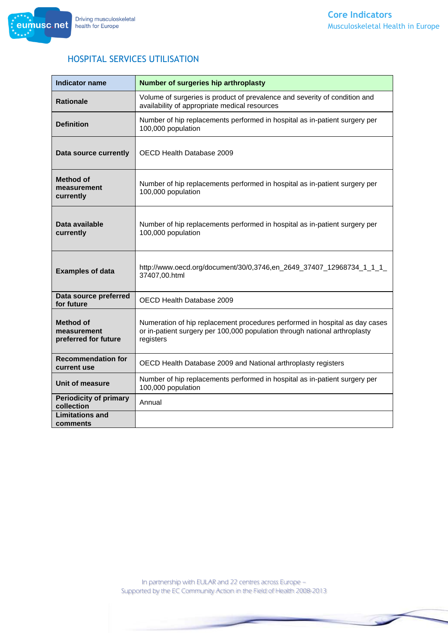

#### HOSPITAL SERVICES UTILISATION

| <b>Indicator name</b>                                   | Number of surgeries hip arthroplasty                                                                                                                                   |
|---------------------------------------------------------|------------------------------------------------------------------------------------------------------------------------------------------------------------------------|
| <b>Rationale</b>                                        | Volume of surgeries is product of prevalence and severity of condition and<br>availability of appropriate medical resources                                            |
| <b>Definition</b>                                       | Number of hip replacements performed in hospital as in-patient surgery per<br>100,000 population                                                                       |
| Data source currently                                   | OECD Health Database 2009                                                                                                                                              |
| Method of<br>measurement<br>currently                   | Number of hip replacements performed in hospital as in-patient surgery per<br>100,000 population                                                                       |
| Data available<br>currently                             | Number of hip replacements performed in hospital as in-patient surgery per<br>100,000 population                                                                       |
| <b>Examples of data</b>                                 | http://www.oecd.org/document/30/0,3746,en_2649_37407_12968734_1_1_1_<br>37407,00.html                                                                                  |
| Data source preferred<br>for future                     | OECD Health Database 2009                                                                                                                                              |
| <b>Method of</b><br>measurement<br>preferred for future | Numeration of hip replacement procedures performed in hospital as day cases<br>or in-patient surgery per 100,000 population through national arthroplasty<br>registers |
| <b>Recommendation for</b><br>current use                | OECD Health Database 2009 and National arthroplasty registers                                                                                                          |
| Unit of measure                                         | Number of hip replacements performed in hospital as in-patient surgery per<br>100,000 population                                                                       |
| <b>Periodicity of primary</b><br>collection             | Annual                                                                                                                                                                 |
| <b>Limitations and</b><br>comments                      |                                                                                                                                                                        |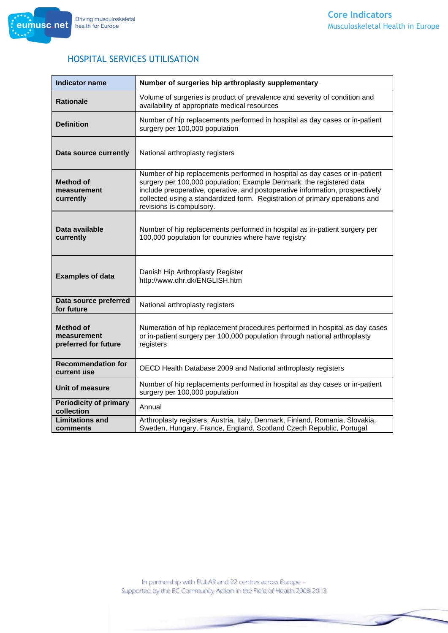

| <b>Indicator name</b>                                   | Number of surgeries hip arthroplasty supplementary                                                                                                                                                                                                                                                                                              |
|---------------------------------------------------------|-------------------------------------------------------------------------------------------------------------------------------------------------------------------------------------------------------------------------------------------------------------------------------------------------------------------------------------------------|
| <b>Rationale</b>                                        | Volume of surgeries is product of prevalence and severity of condition and<br>availability of appropriate medical resources                                                                                                                                                                                                                     |
| <b>Definition</b>                                       | Number of hip replacements performed in hospital as day cases or in-patient<br>surgery per 100,000 population                                                                                                                                                                                                                                   |
| Data source currently                                   | National arthroplasty registers                                                                                                                                                                                                                                                                                                                 |
| <b>Method of</b><br>measurement<br>currently            | Number of hip replacements performed in hospital as day cases or in-patient<br>surgery per 100,000 population; Example Denmark: the registered data<br>include preoperative, operative, and postoperative information, prospectively<br>collected using a standardized form. Registration of primary operations and<br>revisions is compulsory. |
| Data available<br>currently                             | Number of hip replacements performed in hospital as in-patient surgery per<br>100,000 population for countries where have registry                                                                                                                                                                                                              |
| <b>Examples of data</b>                                 | Danish Hip Arthroplasty Register<br>http://www.dhr.dk/ENGLISH.htm                                                                                                                                                                                                                                                                               |
| Data source preferred<br>for future                     | National arthroplasty registers                                                                                                                                                                                                                                                                                                                 |
| <b>Method of</b><br>measurement<br>preferred for future | Numeration of hip replacement procedures performed in hospital as day cases<br>or in-patient surgery per 100,000 population through national arthroplasty<br>registers                                                                                                                                                                          |
| <b>Recommendation for</b><br>current use                | OECD Health Database 2009 and National arthroplasty registers                                                                                                                                                                                                                                                                                   |
| Unit of measure                                         | Number of hip replacements performed in hospital as day cases or in-patient<br>surgery per 100,000 population                                                                                                                                                                                                                                   |
| <b>Periodicity of primary</b><br>collection             | Annual                                                                                                                                                                                                                                                                                                                                          |
| <b>Limitations and</b><br>comments                      | Arthroplasty registers: Austria, Italy, Denmark, Finland, Romania, Slovakia,<br>Sweden, Hungary, France, England, Scotland Czech Republic, Portugal                                                                                                                                                                                             |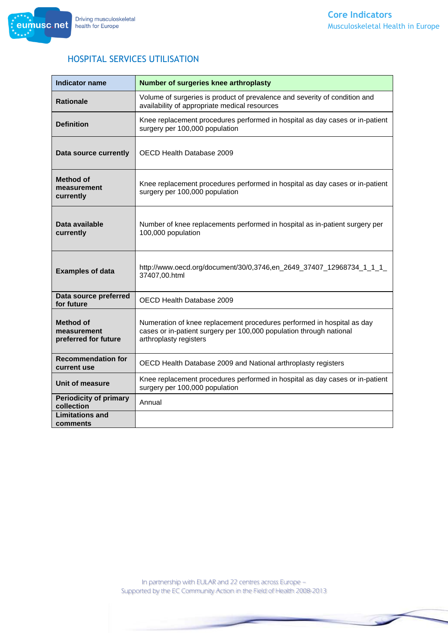# HOSPITAL SERVICES UTILISATION

| <b>Indicator name</b>                                   | Number of surgeries knee arthroplasty                                                                                                                                   |
|---------------------------------------------------------|-------------------------------------------------------------------------------------------------------------------------------------------------------------------------|
| <b>Rationale</b>                                        | Volume of surgeries is product of prevalence and severity of condition and<br>availability of appropriate medical resources                                             |
| <b>Definition</b>                                       | Knee replacement procedures performed in hospital as day cases or in-patient<br>surgery per 100,000 population                                                          |
| Data source currently                                   | OECD Health Database 2009                                                                                                                                               |
| Method of<br>measurement<br>currently                   | Knee replacement procedures performed in hospital as day cases or in-patient<br>surgery per 100,000 population                                                          |
| Data available<br>currently                             | Number of knee replacements performed in hospital as in-patient surgery per<br>100,000 population                                                                       |
| <b>Examples of data</b>                                 | http://www.oecd.org/document/30/0,3746,en_2649_37407_12968734_1_1_1_<br>37407,00.html                                                                                   |
| Data source preferred<br>for future                     | OECD Health Database 2009                                                                                                                                               |
| <b>Method of</b><br>measurement<br>preferred for future | Numeration of knee replacement procedures performed in hospital as day<br>cases or in-patient surgery per 100,000 population through national<br>arthroplasty registers |
| <b>Recommendation for</b><br>current use                | OECD Health Database 2009 and National arthroplasty registers                                                                                                           |
| Unit of measure                                         | Knee replacement procedures performed in hospital as day cases or in-patient<br>surgery per 100,000 population                                                          |
| <b>Periodicity of primary</b><br>collection             | Annual                                                                                                                                                                  |
| <b>Limitations and</b><br>comments                      |                                                                                                                                                                         |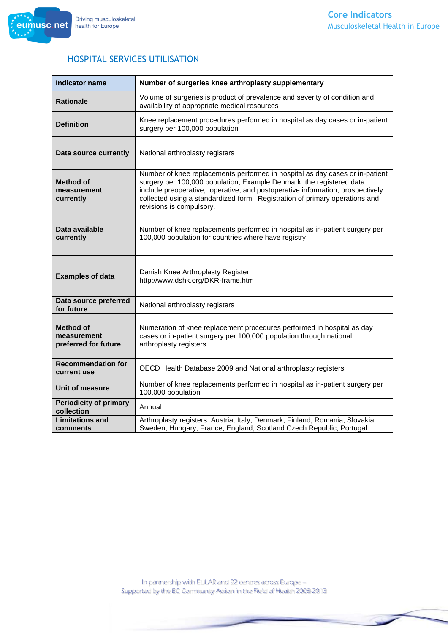

#### HOSPITAL SERVICES UTILISATION

| <b>Indicator name</b>                                   | Number of surgeries knee arthroplasty supplementary                                                                                                                                                                                                                                                                                              |
|---------------------------------------------------------|--------------------------------------------------------------------------------------------------------------------------------------------------------------------------------------------------------------------------------------------------------------------------------------------------------------------------------------------------|
| <b>Rationale</b>                                        | Volume of surgeries is product of prevalence and severity of condition and<br>availability of appropriate medical resources                                                                                                                                                                                                                      |
| <b>Definition</b>                                       | Knee replacement procedures performed in hospital as day cases or in-patient<br>surgery per 100,000 population                                                                                                                                                                                                                                   |
| Data source currently                                   | National arthroplasty registers                                                                                                                                                                                                                                                                                                                  |
| <b>Method of</b><br>measurement<br>currently            | Number of knee replacements performed in hospital as day cases or in-patient<br>surgery per 100,000 population; Example Denmark: the registered data<br>include preoperative, operative, and postoperative information, prospectively<br>collected using a standardized form. Registration of primary operations and<br>revisions is compulsory. |
| Data available<br>currently                             | Number of knee replacements performed in hospital as in-patient surgery per<br>100,000 population for countries where have registry                                                                                                                                                                                                              |
| <b>Examples of data</b>                                 | Danish Knee Arthroplasty Register<br>http://www.dshk.org/DKR-frame.htm                                                                                                                                                                                                                                                                           |
| Data source preferred<br>for future                     | National arthroplasty registers                                                                                                                                                                                                                                                                                                                  |
| <b>Method of</b><br>measurement<br>preferred for future | Numeration of knee replacement procedures performed in hospital as day<br>cases or in-patient surgery per 100,000 population through national<br>arthroplasty registers                                                                                                                                                                          |
| <b>Recommendation for</b><br>current use                | OECD Health Database 2009 and National arthroplasty registers                                                                                                                                                                                                                                                                                    |
| Unit of measure                                         | Number of knee replacements performed in hospital as in-patient surgery per<br>100,000 population                                                                                                                                                                                                                                                |
| <b>Periodicity of primary</b><br>collection             | Annual                                                                                                                                                                                                                                                                                                                                           |
| <b>Limitations and</b><br>comments                      | Arthroplasty registers: Austria, Italy, Denmark, Finland, Romania, Slovakia,<br>Sweden, Hungary, France, England, Scotland Czech Republic, Portugal                                                                                                                                                                                              |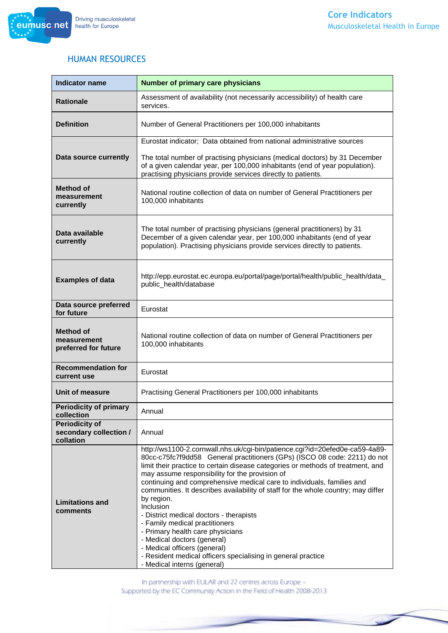

#### HUMAN RESOURCES

| <b>Indicator name</b>                                        | <b>Number of primary care physicians</b>                                                                                                                                                                                                                                                                                                                                                                                                                                                                                                                                                                                                                                                                                                                                      |
|--------------------------------------------------------------|-------------------------------------------------------------------------------------------------------------------------------------------------------------------------------------------------------------------------------------------------------------------------------------------------------------------------------------------------------------------------------------------------------------------------------------------------------------------------------------------------------------------------------------------------------------------------------------------------------------------------------------------------------------------------------------------------------------------------------------------------------------------------------|
| <b>Rationale</b>                                             | Assessment of availability (not necessarily accessibility) of health care<br>services.                                                                                                                                                                                                                                                                                                                                                                                                                                                                                                                                                                                                                                                                                        |
| <b>Definition</b>                                            | Number of General Practitioners per 100,000 inhabitants                                                                                                                                                                                                                                                                                                                                                                                                                                                                                                                                                                                                                                                                                                                       |
|                                                              | Eurostat indicator; Data obtained from national administrative sources                                                                                                                                                                                                                                                                                                                                                                                                                                                                                                                                                                                                                                                                                                        |
| Data source currently                                        | The total number of practising physicians (medical doctors) by 31 December<br>of a given calendar year, per 100,000 inhabitants (end of year population).<br>practising physicians provide services directly to patients.                                                                                                                                                                                                                                                                                                                                                                                                                                                                                                                                                     |
| <b>Method of</b><br>measurement<br>currently                 | National routine collection of data on number of General Practitioners per<br>100,000 inhabitants                                                                                                                                                                                                                                                                                                                                                                                                                                                                                                                                                                                                                                                                             |
| Data available<br>currently                                  | The total number of practising physicians (general practitioners) by 31<br>December of a given calendar year, per 100,000 inhabitants (end of year<br>population). Practising physicians provide services directly to patients.                                                                                                                                                                                                                                                                                                                                                                                                                                                                                                                                               |
| <b>Examples of data</b>                                      | http://epp.eurostat.ec.europa.eu/portal/page/portal/health/public_health/data_<br>public_health/database                                                                                                                                                                                                                                                                                                                                                                                                                                                                                                                                                                                                                                                                      |
| Data source preferred<br>for future                          | Eurostat                                                                                                                                                                                                                                                                                                                                                                                                                                                                                                                                                                                                                                                                                                                                                                      |
| <b>Method of</b><br>measurement<br>preferred for future      | National routine collection of data on number of General Practitioners per<br>100,000 inhabitants                                                                                                                                                                                                                                                                                                                                                                                                                                                                                                                                                                                                                                                                             |
| <b>Recommendation for</b><br>current use                     | Eurostat                                                                                                                                                                                                                                                                                                                                                                                                                                                                                                                                                                                                                                                                                                                                                                      |
| Unit of measure                                              | Practising General Practitioners per 100,000 inhabitants                                                                                                                                                                                                                                                                                                                                                                                                                                                                                                                                                                                                                                                                                                                      |
| <b>Periodicity of primary</b><br>collection                  | Annual                                                                                                                                                                                                                                                                                                                                                                                                                                                                                                                                                                                                                                                                                                                                                                        |
| <b>Periodicity of</b><br>secondary collection /<br>collation | Annual                                                                                                                                                                                                                                                                                                                                                                                                                                                                                                                                                                                                                                                                                                                                                                        |
| <b>Limitations and</b><br>comments                           | http://ws1100-2.cornwall.nhs.uk/cgi-bin/patience.cgi?id=20efed0e-ca59-4a89-<br>80cc-c75fc7f9dd58 General practitioners (GPs) (ISCO 08 code: 2211) do not<br>limit their practice to certain disease categories or methods of treatment, and<br>may assume responsibility for the provision of<br>continuing and comprehensive medical care to individuals, families and<br>communities. It describes availability of staff for the whole country; may differ<br>by region.<br><b>Inclusion</b><br>- District medical doctors - therapists<br>- Family medical practitioners<br>- Primary health care physicians<br>- Medical doctors (general)<br>- Medical officers (general)<br>- Resident medical officers specialising in general practice<br>- Medical interns (general) |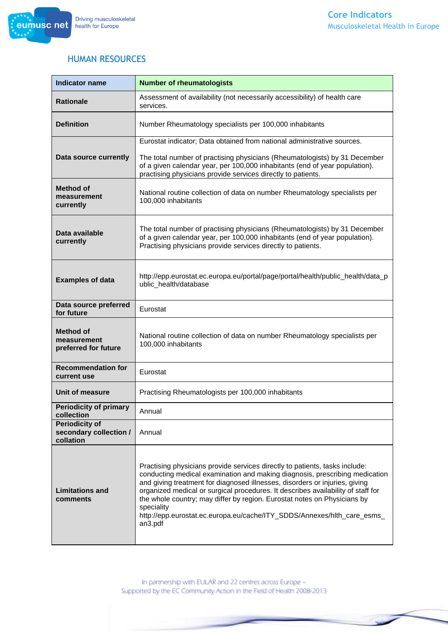

#### HUMAN RESOURCES

| <b>Indicator name</b>                                        | <b>Number of rheumatologists</b>                                                                                                                                                                                                                                                                                                                                                                                                                                                                              |
|--------------------------------------------------------------|---------------------------------------------------------------------------------------------------------------------------------------------------------------------------------------------------------------------------------------------------------------------------------------------------------------------------------------------------------------------------------------------------------------------------------------------------------------------------------------------------------------|
| <b>Rationale</b>                                             | Assessment of availability (not necessarily accessibility) of health care<br>services.                                                                                                                                                                                                                                                                                                                                                                                                                        |
| <b>Definition</b>                                            | Number Rheumatology specialists per 100,000 inhabitants                                                                                                                                                                                                                                                                                                                                                                                                                                                       |
|                                                              | Eurostat indicator; Data obtained from national administrative sources.                                                                                                                                                                                                                                                                                                                                                                                                                                       |
| Data source currently                                        | The total number of practising physicians (Rheumatologists) by 31 December<br>of a given calendar year, per 100,000 inhabitants (end of year population).<br>practising physicians provide services directly to patients.                                                                                                                                                                                                                                                                                     |
| <b>Method of</b><br>measurement<br>currently                 | National routine collection of data on number Rheumatology specialists per<br>100,000 inhabitants                                                                                                                                                                                                                                                                                                                                                                                                             |
| Data available<br>currently                                  | The total number of practising physicians (Rheumatologists) by 31 December<br>of a given calendar year, per 100,000 inhabitants (end of year population).<br>Practising physicians provide services directly to patients.                                                                                                                                                                                                                                                                                     |
| <b>Examples of data</b>                                      | http://epp.eurostat.ec.europa.eu/portal/page/portal/health/public_health/data_p<br>ublic health/database                                                                                                                                                                                                                                                                                                                                                                                                      |
| Data source preferred<br>for future                          | Eurostat                                                                                                                                                                                                                                                                                                                                                                                                                                                                                                      |
| <b>Method of</b><br>measurement<br>preferred for future      | National routine collection of data on number Rheumatology specialists per<br>100,000 inhabitants                                                                                                                                                                                                                                                                                                                                                                                                             |
| <b>Recommendation for</b><br>current use                     | Eurostat                                                                                                                                                                                                                                                                                                                                                                                                                                                                                                      |
| Unit of measure                                              | Practising Rheumatologists per 100,000 inhabitants                                                                                                                                                                                                                                                                                                                                                                                                                                                            |
| <b>Periodicity of primary</b><br>collection                  | Annual                                                                                                                                                                                                                                                                                                                                                                                                                                                                                                        |
| <b>Periodicity of</b><br>secondary collection /<br>collation | Annual                                                                                                                                                                                                                                                                                                                                                                                                                                                                                                        |
| <b>Limitations and</b><br>comments                           | Practising physicians provide services directly to patients, tasks include:<br>conducting medical examination and making diagnosis, prescribing medication<br>and giving treatment for diagnosed illnesses, disorders or injuries, giving<br>organized medical or surgical procedures. It describes availability of staff for<br>the whole country; may differ by region. Eurostat notes on Physicians by<br>speciality<br>http://epp.eurostat.ec.europa.eu/cache/ITY_SDDS/Annexes/hlth_care_esms_<br>an3.pdf |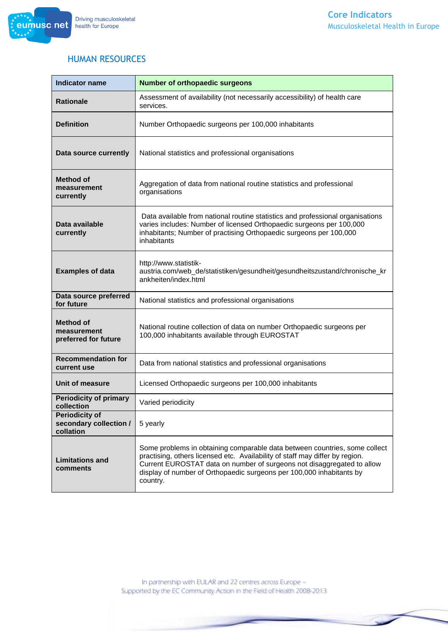

#### HUMAN RESOURCES

| <b>Indicator name</b>                                        | <b>Number of orthopaedic surgeons</b>                                                                                                                                                                                                                                                                                    |
|--------------------------------------------------------------|--------------------------------------------------------------------------------------------------------------------------------------------------------------------------------------------------------------------------------------------------------------------------------------------------------------------------|
| <b>Rationale</b>                                             | Assessment of availability (not necessarily accessibility) of health care<br>services.                                                                                                                                                                                                                                   |
| <b>Definition</b>                                            | Number Orthopaedic surgeons per 100,000 inhabitants                                                                                                                                                                                                                                                                      |
| Data source currently                                        | National statistics and professional organisations                                                                                                                                                                                                                                                                       |
| <b>Method of</b><br>measurement<br>currently                 | Aggregation of data from national routine statistics and professional<br>organisations                                                                                                                                                                                                                                   |
| Data available<br>currently                                  | Data available from national routine statistics and professional organisations<br>varies includes: Number of licensed Orthopaedic surgeons per 100,000<br>inhabitants; Number of practising Orthopaedic surgeons per 100,000<br>inhabitants                                                                              |
| <b>Examples of data</b>                                      | http://www.statistik-<br>austria.com/web_de/statistiken/gesundheit/gesundheitszustand/chronische_kr<br>ankheiten/index.html                                                                                                                                                                                              |
| Data source preferred<br>for future                          | National statistics and professional organisations                                                                                                                                                                                                                                                                       |
| <b>Method of</b><br>measurement<br>preferred for future      | National routine collection of data on number Orthopaedic surgeons per<br>100,000 inhabitants available through EUROSTAT                                                                                                                                                                                                 |
| <b>Recommendation for</b><br>current use                     | Data from national statistics and professional organisations                                                                                                                                                                                                                                                             |
| Unit of measure                                              | Licensed Orthopaedic surgeons per 100,000 inhabitants                                                                                                                                                                                                                                                                    |
| <b>Periodicity of primary</b><br>collection                  | Varied periodicity                                                                                                                                                                                                                                                                                                       |
| <b>Periodicity of</b><br>secondary collection /<br>collation | 5 yearly                                                                                                                                                                                                                                                                                                                 |
| <b>Limitations and</b><br>comments                           | Some problems in obtaining comparable data between countries, some collect<br>practising, others licensed etc. Availability of staff may differ by region.<br>Current EUROSTAT data on number of surgeons not disaggregated to allow<br>display of number of Orthopaedic surgeons per 100,000 inhabitants by<br>country. |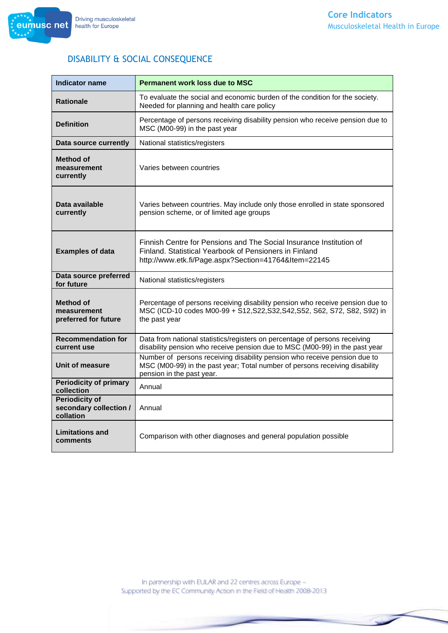

# DISABILITY & SOCIAL CONSEQUENCE

| <b>Indicator name</b>                                        | <b>Permanent work loss due to MSC</b>                                                                                                                                                 |
|--------------------------------------------------------------|---------------------------------------------------------------------------------------------------------------------------------------------------------------------------------------|
| <b>Rationale</b>                                             | To evaluate the social and economic burden of the condition for the society.<br>Needed for planning and health care policy                                                            |
| <b>Definition</b>                                            | Percentage of persons receiving disability pension who receive pension due to<br>MSC (M00-99) in the past year                                                                        |
| Data source currently                                        | National statistics/registers                                                                                                                                                         |
| <b>Method of</b><br>measurement<br>currently                 | Varies between countries                                                                                                                                                              |
| Data available<br>currently                                  | Varies between countries. May include only those enrolled in state sponsored<br>pension scheme, or of limited age groups                                                              |
| <b>Examples of data</b>                                      | Finnish Centre for Pensions and The Social Insurance Institution of<br>Finland. Statistical Yearbook of Pensioners in Finland<br>http://www.etk.fi/Page.aspx?Section=41764&Item=22145 |
| Data source preferred<br>for future                          | National statistics/registers                                                                                                                                                         |
| Method of<br>measurement<br>preferred for future             | Percentage of persons receiving disability pension who receive pension due to<br>MSC (ICD-10 codes M00-99 + S12, S22, S32, S42, S52, S62, S72, S82, S92) in<br>the past year          |
| <b>Recommendation for</b><br>current use                     | Data from national statistics/registers on percentage of persons receiving<br>disability pension who receive pension due to MSC (M00-99) in the past year                             |
| Unit of measure                                              | Number of persons receiving disability pension who receive pension due to<br>MSC (M00-99) in the past year; Total number of persons receiving disability<br>pension in the past year. |
| <b>Periodicity of primary</b><br>collection                  | Annual                                                                                                                                                                                |
| <b>Periodicity of</b><br>secondary collection /<br>collation | Annual                                                                                                                                                                                |
| <b>Limitations and</b><br>comments                           | Comparison with other diagnoses and general population possible                                                                                                                       |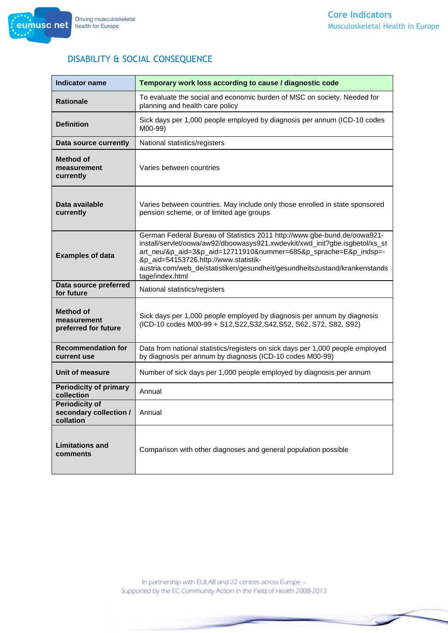

# DISABILITY & SOCIAL CONSEQUENCE

| <b>Indicator name</b>                                        | Temporary work loss according to cause / diagnostic code                                                                                                                                                                                                                                                                                                              |
|--------------------------------------------------------------|-----------------------------------------------------------------------------------------------------------------------------------------------------------------------------------------------------------------------------------------------------------------------------------------------------------------------------------------------------------------------|
| <b>Rationale</b>                                             | To evaluate the social and economic burden of MSC on society. Needed for<br>planning and health care policy                                                                                                                                                                                                                                                           |
| <b>Definition</b>                                            | Sick days per 1,000 people employed by diagnosis per annum (ICD-10 codes<br>M00-99)                                                                                                                                                                                                                                                                                   |
| Data source currently                                        | National statistics/registers                                                                                                                                                                                                                                                                                                                                         |
| <b>Method of</b><br>measurement<br>currently                 | Varies between countries                                                                                                                                                                                                                                                                                                                                              |
| Data available<br>currently                                  | Varies between countries. May include only those enrolled in state sponsored<br>pension scheme, or of limited age groups                                                                                                                                                                                                                                              |
| <b>Examples of data</b>                                      | German Federal Bureau of Statistics 2011 http://www.gbe-bund.de/oowa921-<br>install/servlet/oowa/aw92/dboowasys921.xwdevkit/xwd_init?gbe.isgbetol/xs_st<br>art_neu/&p_aid=3&p_aid=12711910&nummer=685&p_sprache=E&p_indsp=-<br>&p_aid=54153726.http://www.statistik-<br>austria.com/web_de/statistiken/gesundheit/gesundheitszustand/krankenstands<br>tage/index.html |
| Data source preferred<br>for future                          | National statistics/registers                                                                                                                                                                                                                                                                                                                                         |
| <b>Method of</b><br>measurement<br>preferred for future      | Sick days per 1,000 people employed by diagnosis per annum by diagnosis<br>(ICD-10 codes M00-99 + S12, S22, S32, S42, S52, S62, S72, S82, S92)                                                                                                                                                                                                                        |
| <b>Recommendation for</b><br>current use                     | Data from national statistics/registers on sick days per 1,000 people employed<br>by diagnosis per annum by diagnosis (ICD-10 codes M00-99)                                                                                                                                                                                                                           |
| Unit of measure                                              | Number of sick days per 1,000 people employed by diagnosis per annum                                                                                                                                                                                                                                                                                                  |
| <b>Periodicity of primary</b><br>collection                  | Annual                                                                                                                                                                                                                                                                                                                                                                |
| <b>Periodicity of</b><br>secondary collection /<br>collation | Annual                                                                                                                                                                                                                                                                                                                                                                |
| <b>Limitations and</b><br>comments                           | Comparison with other diagnoses and general population possible                                                                                                                                                                                                                                                                                                       |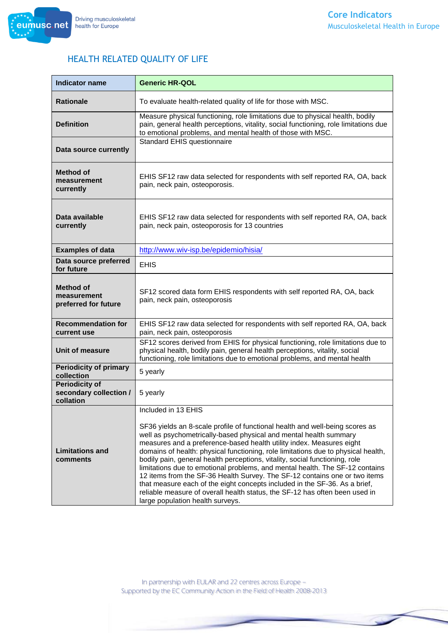



#### HEALTH RELATED QUALITY OF LIFE

| <b>Indicator name</b>                                        | <b>Generic HR-QOL</b>                                                                                                                                                                                                                                                                                                                                                                                                                                                                                                                                                                                                                                                                                                                                                               |
|--------------------------------------------------------------|-------------------------------------------------------------------------------------------------------------------------------------------------------------------------------------------------------------------------------------------------------------------------------------------------------------------------------------------------------------------------------------------------------------------------------------------------------------------------------------------------------------------------------------------------------------------------------------------------------------------------------------------------------------------------------------------------------------------------------------------------------------------------------------|
| <b>Rationale</b>                                             | To evaluate health-related quality of life for those with MSC.                                                                                                                                                                                                                                                                                                                                                                                                                                                                                                                                                                                                                                                                                                                      |
| <b>Definition</b>                                            | Measure physical functioning, role limitations due to physical health, bodily<br>pain, general health perceptions, vitality, social functioning, role limitations due<br>to emotional problems, and mental health of those with MSC.                                                                                                                                                                                                                                                                                                                                                                                                                                                                                                                                                |
| Data source currently                                        | Standard EHIS questionnaire                                                                                                                                                                                                                                                                                                                                                                                                                                                                                                                                                                                                                                                                                                                                                         |
| Method of<br>measurement<br>currently                        | EHIS SF12 raw data selected for respondents with self reported RA, OA, back<br>pain, neck pain, osteoporosis.                                                                                                                                                                                                                                                                                                                                                                                                                                                                                                                                                                                                                                                                       |
| Data available<br>currently                                  | EHIS SF12 raw data selected for respondents with self reported RA, OA, back<br>pain, neck pain, osteoporosis for 13 countries                                                                                                                                                                                                                                                                                                                                                                                                                                                                                                                                                                                                                                                       |
| <b>Examples of data</b>                                      | http://www.wiv-isp.be/epidemio/hisia/                                                                                                                                                                                                                                                                                                                                                                                                                                                                                                                                                                                                                                                                                                                                               |
| Data source preferred<br>for future                          | <b>EHIS</b>                                                                                                                                                                                                                                                                                                                                                                                                                                                                                                                                                                                                                                                                                                                                                                         |
| <b>Method of</b><br>measurement<br>preferred for future      | SF12 scored data form EHIS respondents with self reported RA, OA, back<br>pain, neck pain, osteoporosis                                                                                                                                                                                                                                                                                                                                                                                                                                                                                                                                                                                                                                                                             |
| <b>Recommendation for</b><br>current use                     | EHIS SF12 raw data selected for respondents with self reported RA, OA, back<br>pain, neck pain, osteoporosis                                                                                                                                                                                                                                                                                                                                                                                                                                                                                                                                                                                                                                                                        |
| Unit of measure                                              | SF12 scores derived from EHIS for physical functioning, role limitations due to<br>physical health, bodily pain, general health perceptions, vitality, social<br>functioning, role limitations due to emotional problems, and mental health                                                                                                                                                                                                                                                                                                                                                                                                                                                                                                                                         |
| <b>Periodicity of primary</b><br>collection                  | 5 yearly                                                                                                                                                                                                                                                                                                                                                                                                                                                                                                                                                                                                                                                                                                                                                                            |
| <b>Periodicity of</b><br>secondary collection /<br>collation | 5 yearly                                                                                                                                                                                                                                                                                                                                                                                                                                                                                                                                                                                                                                                                                                                                                                            |
| <b>Limitations and</b><br>comments                           | Included in 13 EHIS<br>SF36 yields an 8-scale profile of functional health and well-being scores as<br>well as psychometrically-based physical and mental health summary<br>measures and a preference-based health utility index. Measures eight<br>domains of health: physical functioning, role limitations due to physical health,<br>bodily pain, general health perceptions, vitality, social functioning, role<br>limitations due to emotional problems, and mental health. The SF-12 contains<br>12 items from the SF-36 Health Survey. The SF-12 contains one or two items<br>that measure each of the eight concepts included in the SF-36. As a brief,<br>reliable measure of overall health status, the SF-12 has often been used in<br>large population health surveys. |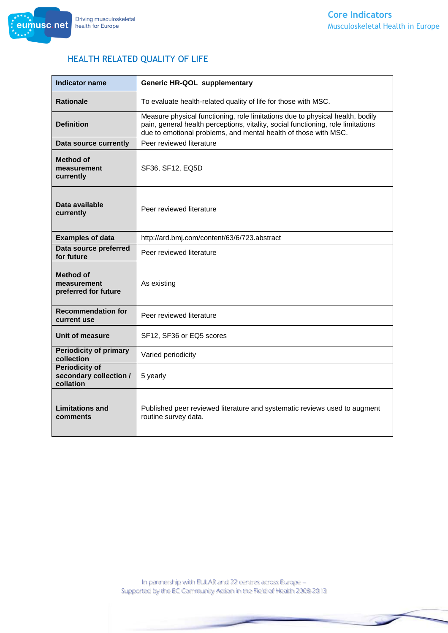# HEALTH RELATED QUALITY OF LIFE

| <b>Indicator name</b>                                        | Generic HR-QOL supplementary                                                                                                                                                                                                         |
|--------------------------------------------------------------|--------------------------------------------------------------------------------------------------------------------------------------------------------------------------------------------------------------------------------------|
| <b>Rationale</b>                                             | To evaluate health-related quality of life for those with MSC.                                                                                                                                                                       |
| <b>Definition</b>                                            | Measure physical functioning, role limitations due to physical health, bodily<br>pain, general health perceptions, vitality, social functioning, role limitations<br>due to emotional problems, and mental health of those with MSC. |
| Data source currently                                        | Peer reviewed literature                                                                                                                                                                                                             |
| Method of<br>measurement<br>currently                        | SF36, SF12, EQ5D                                                                                                                                                                                                                     |
| Data available<br>currently                                  | Peer reviewed literature                                                                                                                                                                                                             |
| <b>Examples of data</b>                                      | http://ard.bmj.com/content/63/6/723.abstract                                                                                                                                                                                         |
| Data source preferred<br>for future                          | Peer reviewed literature                                                                                                                                                                                                             |
| <b>Method of</b><br>measurement<br>preferred for future      | As existing                                                                                                                                                                                                                          |
| <b>Recommendation for</b><br>current use                     | Peer reviewed literature                                                                                                                                                                                                             |
| Unit of measure                                              | SF12, SF36 or EQ5 scores                                                                                                                                                                                                             |
| <b>Periodicity of primary</b><br>collection                  | Varied periodicity                                                                                                                                                                                                                   |
| <b>Periodicity of</b><br>secondary collection /<br>collation | 5 yearly                                                                                                                                                                                                                             |
| <b>Limitations and</b><br>comments                           | Published peer reviewed literature and systematic reviews used to augment<br>routine survey data.                                                                                                                                    |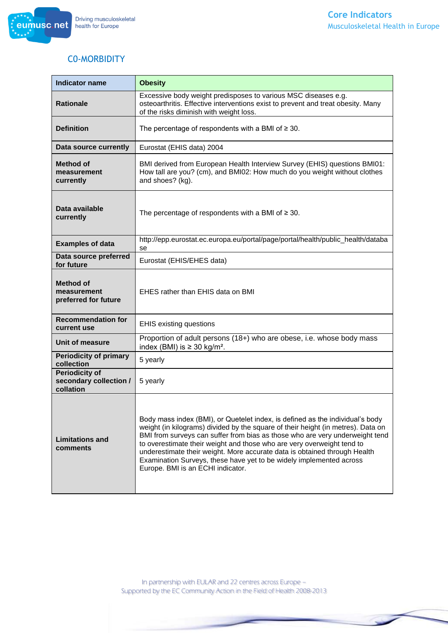

# C0-MORBIDITY

| <b>Indicator name</b>                                        | <b>Obesity</b>                                                                                                                                                                                                                                                                                                                                                                                                                                                                                                       |
|--------------------------------------------------------------|----------------------------------------------------------------------------------------------------------------------------------------------------------------------------------------------------------------------------------------------------------------------------------------------------------------------------------------------------------------------------------------------------------------------------------------------------------------------------------------------------------------------|
| <b>Rationale</b>                                             | Excessive body weight predisposes to various MSC diseases e.g.<br>osteoarthritis. Effective interventions exist to prevent and treat obesity. Many<br>of the risks diminish with weight loss.                                                                                                                                                                                                                                                                                                                        |
| <b>Definition</b>                                            | The percentage of respondents with a BMI of $\geq$ 30.                                                                                                                                                                                                                                                                                                                                                                                                                                                               |
| Data source currently                                        | Eurostat (EHIS data) 2004                                                                                                                                                                                                                                                                                                                                                                                                                                                                                            |
| <b>Method of</b><br>measurement<br>currently                 | BMI derived from European Health Interview Survey (EHIS) questions BMI01:<br>How tall are you? (cm), and BMI02: How much do you weight without clothes<br>and shoes? (kg).                                                                                                                                                                                                                                                                                                                                           |
| Data available<br>currently                                  | The percentage of respondents with a BMI of $\geq$ 30.                                                                                                                                                                                                                                                                                                                                                                                                                                                               |
| <b>Examples of data</b>                                      | http://epp.eurostat.ec.europa.eu/portal/page/portal/health/public_health/databa<br>se                                                                                                                                                                                                                                                                                                                                                                                                                                |
| Data source preferred<br>for future                          | Eurostat (EHIS/EHES data)                                                                                                                                                                                                                                                                                                                                                                                                                                                                                            |
| <b>Method of</b><br>measurement<br>preferred for future      | EHES rather than EHIS data on BMI                                                                                                                                                                                                                                                                                                                                                                                                                                                                                    |
| <b>Recommendation for</b><br>current use                     | <b>EHIS existing questions</b>                                                                                                                                                                                                                                                                                                                                                                                                                                                                                       |
| Unit of measure                                              | Proportion of adult persons (18+) who are obese, i.e. whose body mass<br>index (BMI) is $\geq$ 30 kg/m <sup>2</sup> .                                                                                                                                                                                                                                                                                                                                                                                                |
| <b>Periodicity of primary</b><br>collection                  | 5 yearly                                                                                                                                                                                                                                                                                                                                                                                                                                                                                                             |
| <b>Periodicity of</b><br>secondary collection /<br>collation | 5 yearly                                                                                                                                                                                                                                                                                                                                                                                                                                                                                                             |
| <b>Limitations and</b><br>comments                           | Body mass index (BMI), or Quetelet index, is defined as the individual's body<br>weight (in kilograms) divided by the square of their height (in metres). Data on<br>BMI from surveys can suffer from bias as those who are very underweight tend<br>to overestimate their weight and those who are very overweight tend to<br>underestimate their weight. More accurate data is obtained through Health<br>Examination Surveys, these have yet to be widely implemented across<br>Europe. BMI is an ECHI indicator. |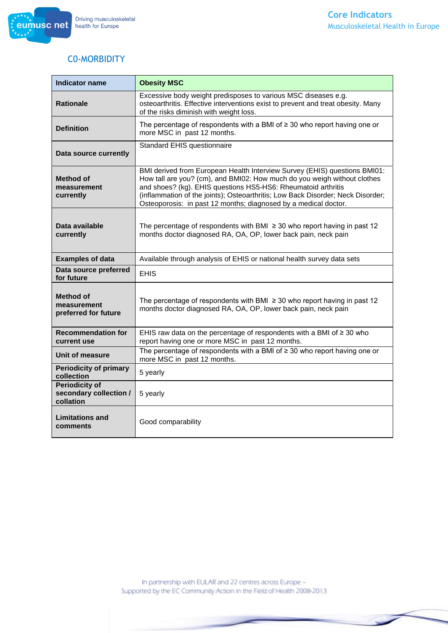

# C0-MORBIDITY

| <b>Indicator name</b>                                        | <b>Obesity MSC</b>                                                                                                                                                                                                                                                                                                                                                           |
|--------------------------------------------------------------|------------------------------------------------------------------------------------------------------------------------------------------------------------------------------------------------------------------------------------------------------------------------------------------------------------------------------------------------------------------------------|
| <b>Rationale</b>                                             | Excessive body weight predisposes to various MSC diseases e.g.<br>osteoarthritis. Effective interventions exist to prevent and treat obesity. Many<br>of the risks diminish with weight loss.                                                                                                                                                                                |
| <b>Definition</b>                                            | The percentage of respondents with a BMI of $\geq$ 30 who report having one or<br>more MSC in past 12 months.                                                                                                                                                                                                                                                                |
| Data source currently                                        | Standard EHIS questionnaire                                                                                                                                                                                                                                                                                                                                                  |
| Method of<br>measurement<br>currently                        | BMI derived from European Health Interview Survey (EHIS) questions BMI01:<br>How tall are you? (cm), and BMI02: How much do you weigh without clothes<br>and shoes? (kg). EHIS questions HS5-HS6: Rheumatoid arthritis<br>(inflammation of the joints); Osteoarthritis; Low Back Disorder; Neck Disorder;<br>Osteoporosis: in past 12 months; diagnosed by a medical doctor. |
| Data available<br>currently                                  | The percentage of respondents with BMI $\geq$ 30 who report having in past 12<br>months doctor diagnosed RA, OA, OP, lower back pain, neck pain                                                                                                                                                                                                                              |
| <b>Examples of data</b>                                      | Available through analysis of EHIS or national health survey data sets                                                                                                                                                                                                                                                                                                       |
| Data source preferred<br>for future                          | <b>EHIS</b>                                                                                                                                                                                                                                                                                                                                                                  |
| Method of<br>measurement<br>preferred for future             | The percentage of respondents with BMI $\geq$ 30 who report having in past 12<br>months doctor diagnosed RA, OA, OP, lower back pain, neck pain                                                                                                                                                                                                                              |
| <b>Recommendation for</b><br>current use                     | EHIS raw data on the percentage of respondents with a BMI of ≥ 30 who<br>report having one or more MSC in past 12 months.                                                                                                                                                                                                                                                    |
| Unit of measure                                              | The percentage of respondents with a BMI of $\geq$ 30 who report having one or<br>more MSC in past 12 months.                                                                                                                                                                                                                                                                |
| <b>Periodicity of primary</b><br>collection                  | 5 yearly                                                                                                                                                                                                                                                                                                                                                                     |
| <b>Periodicity of</b><br>secondary collection /<br>collation | 5 yearly                                                                                                                                                                                                                                                                                                                                                                     |
| <b>Limitations and</b><br>comments                           | Good comparability                                                                                                                                                                                                                                                                                                                                                           |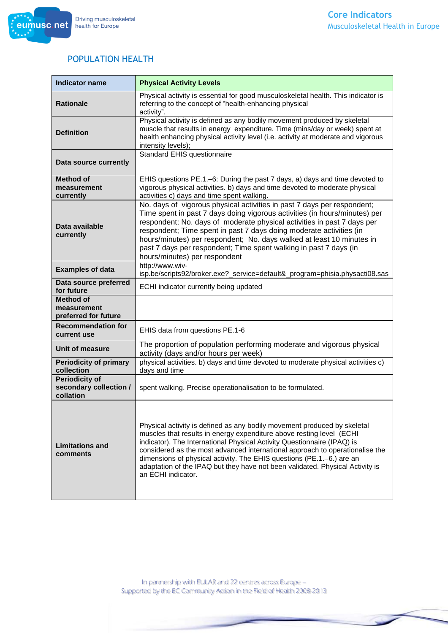

#### POPULATION HEALTH

| <b>Indicator name</b>                                        | <b>Physical Activity Levels</b>                                                                                                                                                                                                                                                                                                                                                                                                                                                             |
|--------------------------------------------------------------|---------------------------------------------------------------------------------------------------------------------------------------------------------------------------------------------------------------------------------------------------------------------------------------------------------------------------------------------------------------------------------------------------------------------------------------------------------------------------------------------|
| <b>Rationale</b>                                             | Physical activity is essential for good musculoskeletal health. This indicator is<br>referring to the concept of "health-enhancing physical<br>activity".                                                                                                                                                                                                                                                                                                                                   |
| <b>Definition</b>                                            | Physical activity is defined as any bodily movement produced by skeletal<br>muscle that results in energy expenditure. Time (mins/day or week) spent at<br>health enhancing physical activity level (i.e. activity at moderate and vigorous<br>intensity levels);                                                                                                                                                                                                                           |
| Data source currently                                        | Standard EHIS questionnaire                                                                                                                                                                                                                                                                                                                                                                                                                                                                 |
| <b>Method of</b><br>measurement<br>currently                 | EHIS questions PE.1.-6: During the past 7 days, a) days and time devoted to<br>vigorous physical activities. b) days and time devoted to moderate physical<br>activities c) days and time spent walking.                                                                                                                                                                                                                                                                                    |
| Data available<br>currently                                  | No. days of vigorous physical activities in past 7 days per respondent;<br>Time spent in past 7 days doing vigorous activities (in hours/minutes) per<br>respondent; No. days of moderate physical activities in past 7 days per<br>respondent; Time spent in past 7 days doing moderate activities (in<br>hours/minutes) per respondent; No. days walked at least 10 minutes in<br>past 7 days per respondent; Time spent walking in past 7 days (in<br>hours/minutes) per respondent      |
| <b>Examples of data</b>                                      | http://www.wiv-<br>isp.be/scripts92/broker.exe?_service=default&_program=phisia.physacti08.sas                                                                                                                                                                                                                                                                                                                                                                                              |
| Data source preferred<br>for future                          | ECHI indicator currently being updated                                                                                                                                                                                                                                                                                                                                                                                                                                                      |
| <b>Method of</b><br>measurement<br>preferred for future      |                                                                                                                                                                                                                                                                                                                                                                                                                                                                                             |
| <b>Recommendation for</b><br>current use                     | EHIS data from questions PE.1-6                                                                                                                                                                                                                                                                                                                                                                                                                                                             |
| Unit of measure                                              | The proportion of population performing moderate and vigorous physical<br>activity (days and/or hours per week)                                                                                                                                                                                                                                                                                                                                                                             |
| <b>Periodicity of primary</b><br>collection                  | physical activities. b) days and time devoted to moderate physical activities c)<br>days and time                                                                                                                                                                                                                                                                                                                                                                                           |
| <b>Periodicity of</b><br>secondary collection /<br>collation | spent walking. Precise operationalisation to be formulated.                                                                                                                                                                                                                                                                                                                                                                                                                                 |
| <b>Limitations and</b><br>comments                           | Physical activity is defined as any bodily movement produced by skeletal<br>muscles that results in energy expenditure above resting level (ECHI<br>indicator). The International Physical Activity Questionnaire (IPAQ) is<br>considered as the most advanced international approach to operationalise the<br>dimensions of physical activity. The EHIS questions (PE.1.-6.) are an<br>adaptation of the IPAQ but they have not been validated. Physical Activity is<br>an ECHI indicator. |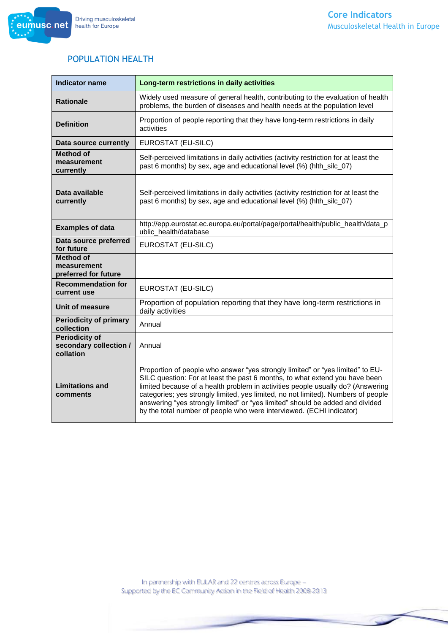

#### POPULATION HEALTH

| <b>Indicator name</b>                                        | Long-term restrictions in daily activities                                                                                                                                                                                                                                                                                                                                                                                                                                                     |
|--------------------------------------------------------------|------------------------------------------------------------------------------------------------------------------------------------------------------------------------------------------------------------------------------------------------------------------------------------------------------------------------------------------------------------------------------------------------------------------------------------------------------------------------------------------------|
| <b>Rationale</b>                                             | Widely used measure of general health, contributing to the evaluation of health<br>problems, the burden of diseases and health needs at the population level                                                                                                                                                                                                                                                                                                                                   |
| <b>Definition</b>                                            | Proportion of people reporting that they have long-term restrictions in daily<br>activities                                                                                                                                                                                                                                                                                                                                                                                                    |
| Data source currently                                        | EUROSTAT (EU-SILC)                                                                                                                                                                                                                                                                                                                                                                                                                                                                             |
| <b>Method of</b><br>measurement<br>currently                 | Self-perceived limitations in daily activities (activity restriction for at least the<br>past 6 months) by sex, age and educational level (%) (hith_silc_07)                                                                                                                                                                                                                                                                                                                                   |
| Data available<br>currently                                  | Self-perceived limitations in daily activities (activity restriction for at least the<br>past 6 months) by sex, age and educational level (%) (hlth_silc_07)                                                                                                                                                                                                                                                                                                                                   |
| <b>Examples of data</b>                                      | http://epp.eurostat.ec.europa.eu/portal/page/portal/health/public_health/data_p<br>ublic health/database                                                                                                                                                                                                                                                                                                                                                                                       |
| Data source preferred<br>for future                          | EUROSTAT (EU-SILC)                                                                                                                                                                                                                                                                                                                                                                                                                                                                             |
| <b>Method of</b><br>measurement<br>preferred for future      |                                                                                                                                                                                                                                                                                                                                                                                                                                                                                                |
| <b>Recommendation for</b><br>current use                     | EUROSTAT (EU-SILC)                                                                                                                                                                                                                                                                                                                                                                                                                                                                             |
| Unit of measure                                              | Proportion of population reporting that they have long-term restrictions in<br>daily activities                                                                                                                                                                                                                                                                                                                                                                                                |
| <b>Periodicity of primary</b><br>collection                  | Annual                                                                                                                                                                                                                                                                                                                                                                                                                                                                                         |
| <b>Periodicity of</b><br>secondary collection /<br>collation | Annual                                                                                                                                                                                                                                                                                                                                                                                                                                                                                         |
| <b>Limitations and</b><br>comments                           | Proportion of people who answer "yes strongly limited" or "yes limited" to EU-<br>SILC question: For at least the past 6 months, to what extend you have been<br>limited because of a health problem in activities people usually do? (Answering<br>categories; yes strongly limited, yes limited, no not limited). Numbers of people<br>answering "yes strongly limited" or "yes limited" should be added and divided<br>by the total number of people who were interviewed. (ECHI indicator) |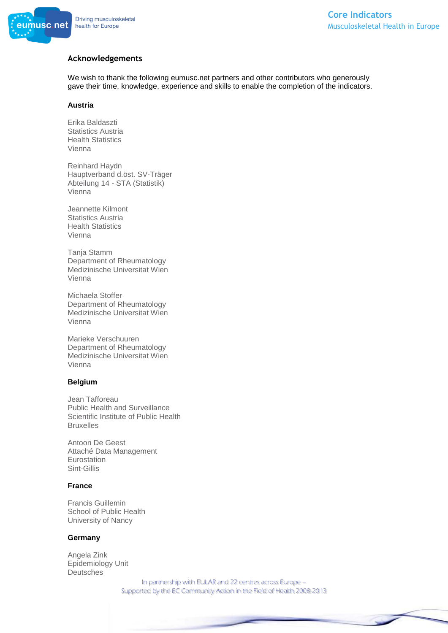

#### **Acknowledgements**

We wish to thank the following eumusc.net partners and other contributors who generously gave their time, knowledge, experience and skills to enable the completion of the indicators.

#### **Austria**

Erika Baldaszti Statistics Austria Health Statistics Vienna

Reinhard Haydn Hauptverband d.öst. SV-Träger Abteilung 14 - STA (Statistik) Vienna

Jeannette Kilmont Statistics Austria Health Statistics Vienna

Tanja Stamm Department of Rheumatology Medizinische Universitat Wien Vienna

Michaela Stoffer Department of Rheumatology Medizinische Universitat Wien Vienna

Marieke Verschuuren Department of Rheumatology Medizinische Universitat Wien Vienna

#### **Belgium**

Jean Tafforeau Public Health and Surveillance Scientific Institute of Public Health Bruxelles

Antoon De Geest Attaché Data Management Eurostation Sint-Gillis

#### **France**

Francis Guillemin School of Public Health University of Nancy

#### **Germany**

Angela Zink Epidemiology Unit **Deutsches**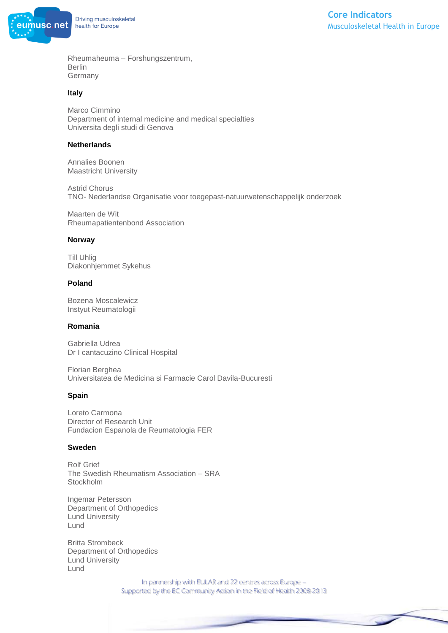

Rheumaheuma – Forshungszentrum, Berlin Germany

#### **Italy**

Marco Cimmino Department of internal medicine and medical specialties Universita degli studi di Genova

#### **Netherlands**

Annalies Boonen Maastricht University

Astrid Chorus TNO- Nederlandse Organisatie voor toegepast-natuurwetenschappelijk onderzoek

Maarten de Wit Rheumapatientenbond Association

#### **Norway**

Till Uhlig Diakonhjemmet Sykehus

#### **Poland**

Bozena Moscalewicz Instyut Reumatologii

#### **Romania**

Gabriella Udrea Dr I cantacuzino Clinical Hospital

Florian Berghea Universitatea de Medicina si Farmacie Carol Davila-Bucuresti

#### **Spain**

Loreto Carmona Director of Research Unit Fundacion Espanola de Reumatologia FER

#### **Sweden**

Rolf Grief The Swedish Rheumatism Association – SRA Stockholm

Ingemar Petersson Department of Orthopedics Lund University Lund

Britta Strombeck Department of Orthopedics Lund University Lund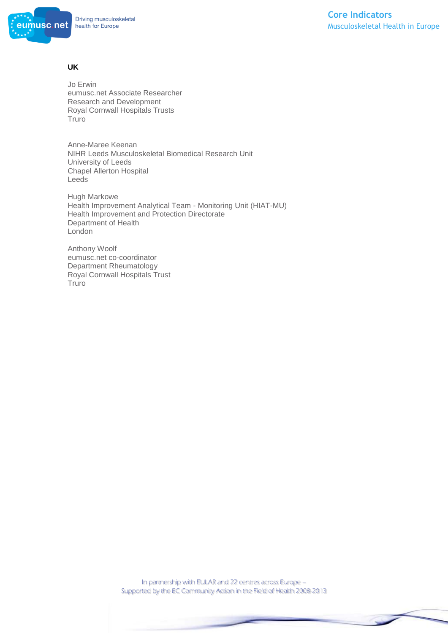

#### **UK**

Jo Erwin eumusc.net Associate Researcher Research and Development Royal Cornwall Hospitals Trusts Truro

Anne-Maree Keenan NIHR Leeds Musculoskeletal Biomedical Research Unit University of Leeds Chapel Allerton Hospital Leeds

Hugh Markowe Health Improvement Analytical Team - Monitoring Unit (HIAT-MU) Health Improvement and Protection Directorate Department of Health London

Anthony Woolf eumusc.net co-coordinator Department Rheumatology Royal Cornwall Hospitals Trust Truro